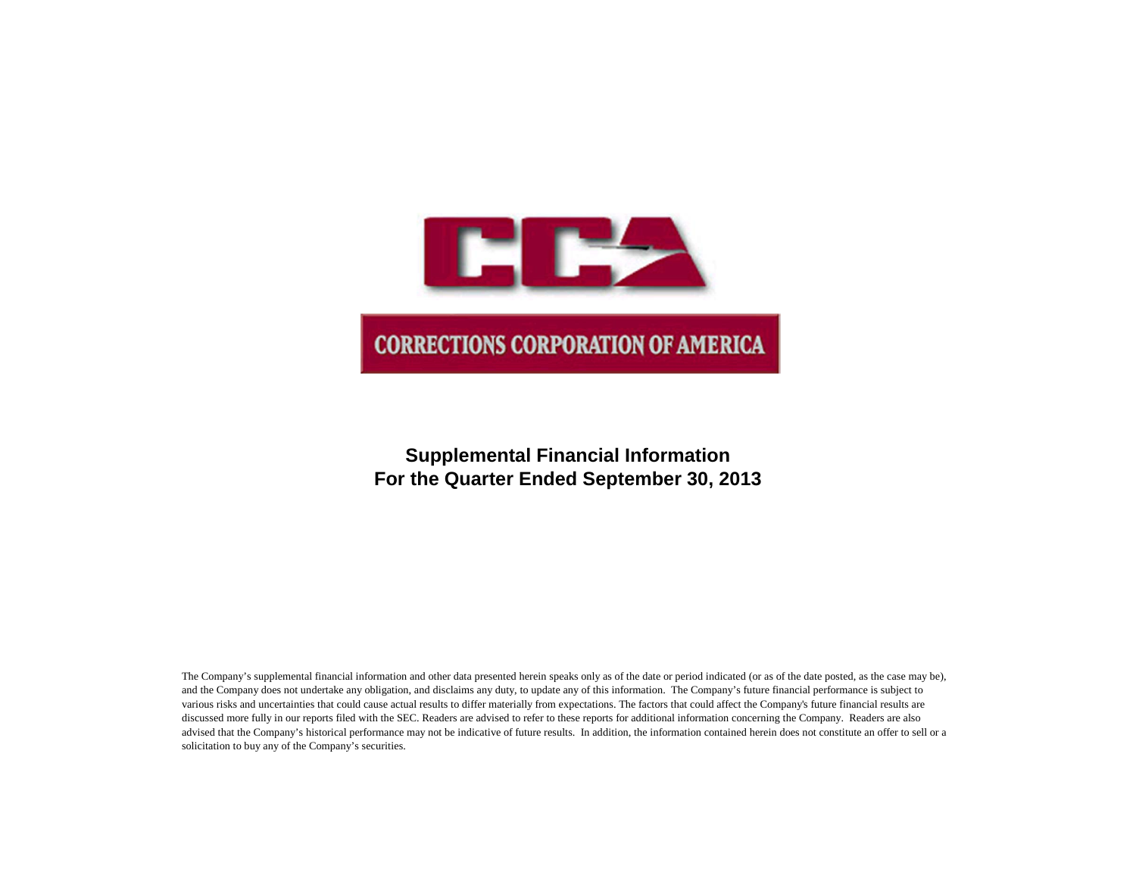

# **Supplemental Financial Information For the Quarter Ended September 30, 2013**

The Company's supplemental financial information and other data presented herein speaks only as of the date or period indicated (or as of the date posted, as the case may be), and the Company does not undertake any obligation, and disclaims any duty, to update any of this information. The Company's future financial performance is subject to various risks and uncertainties that could cause actual results to differ materially from expectations. The factors that could affect the Company's future financial results are discussed more fully in our reports filed with the SEC. Readers are advised to refer to these reports for additional information concerning the Company. Readers are also advised that the Company's historical performance may not be indicative of future results. In addition, the information contained herein does not constitute an offer to sell or a solicitation to buy any of the Company's securities.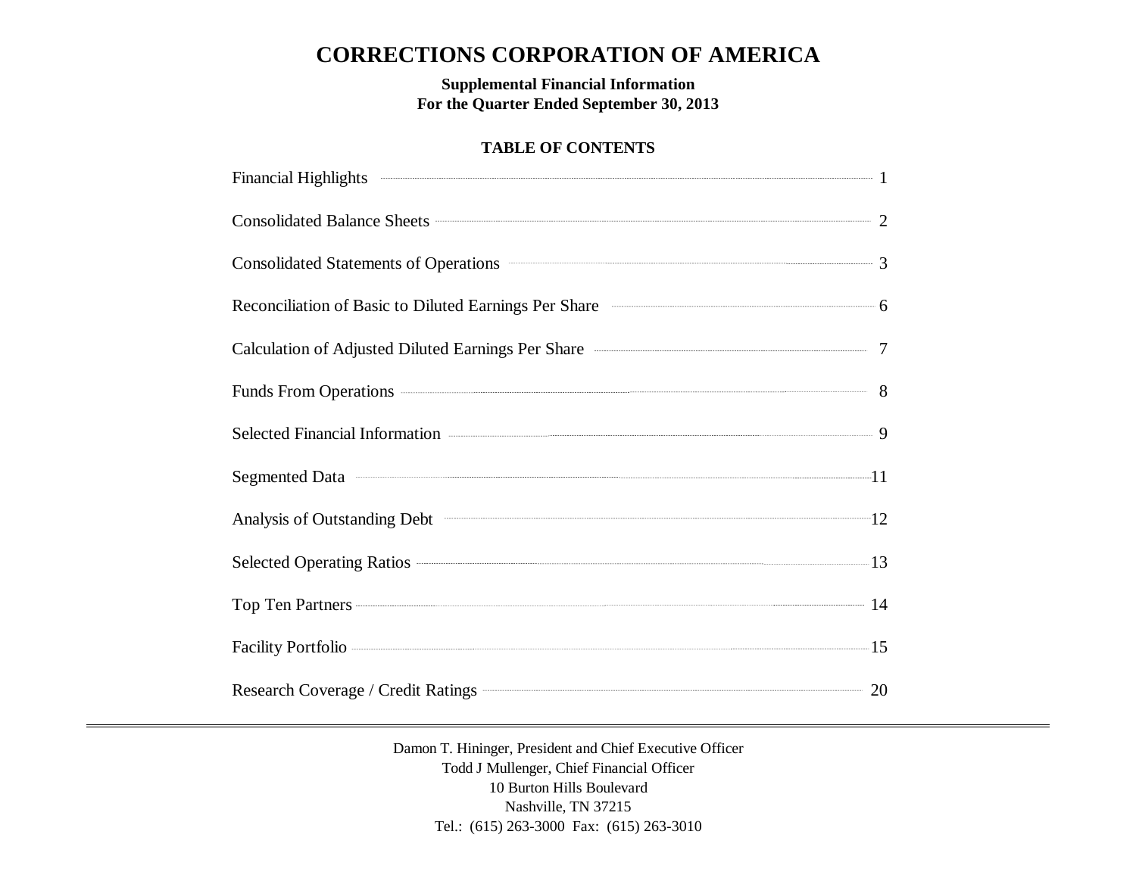# **CORRECTIONS CORPORATION OF AMERICA**

**Supplemental Financial Information For the Quarter Ended September 30, 2013**

# **TABLE OF CONTENTS**

| Financial Highlights 2008 and 2008 and 2008 and 2008 and 2008 and 2008 and 2008 and 2008 and 2008 and 2008 and 2008 and 2008 and 2008 and 2008 and 2008 and 2008 and 2008 and 2008 and 2008 and 2008 and 2008 and 2008 and 200                           |  |
|----------------------------------------------------------------------------------------------------------------------------------------------------------------------------------------------------------------------------------------------------------|--|
| Consolidated Balance Sheets 22                                                                                                                                                                                                                           |  |
| Consolidated Statements of Operations <b>Consolidated Statements</b> of Operations <b>Consolidated Statements</b> of Operations <b>Consolidated Statements</b> of Operations <b>Consolidated Statements</b> of Operations <b>Consolidated Statements</b> |  |
| Reconciliation of Basic to Diluted Earnings Per Share <b>Constanting Strate</b> 6                                                                                                                                                                        |  |
| Calculation of Adjusted Diluted Earnings Per Share <b>Calculation</b> of Adjusted Diluted Earnings Per Share                                                                                                                                             |  |
| Funds From Operations 38                                                                                                                                                                                                                                 |  |
| Selected Financial Information <b>Construction</b> 9                                                                                                                                                                                                     |  |
| Segmented Data <sup>11</sup>                                                                                                                                                                                                                             |  |
| Analysis of Outstanding Debt 22 and 22 and 23 and 24 and 25 and 26 and 26 and 26 and 26 and 26 and 26 and 26 and 26 and 26 and 26 and 26 and 26 and 26 and 26 and 26 and 26 and 26 and 26 and 26 and 26 and 26 and 26 and 26 a                           |  |
| Selected Operating Ratios 213                                                                                                                                                                                                                            |  |
| Top Ten Partners 14                                                                                                                                                                                                                                      |  |
|                                                                                                                                                                                                                                                          |  |
| Research Coverage / Credit Ratings <b>Construction</b> 20                                                                                                                                                                                                |  |

Damon T. Hininger, President and Chief Executive Officer Todd J Mullenger, Chief Financial Officer 10 Burton Hills Boulevard Nashville, TN 37215 Tel.: (615) 263-3000 Fax: (615) 263-3010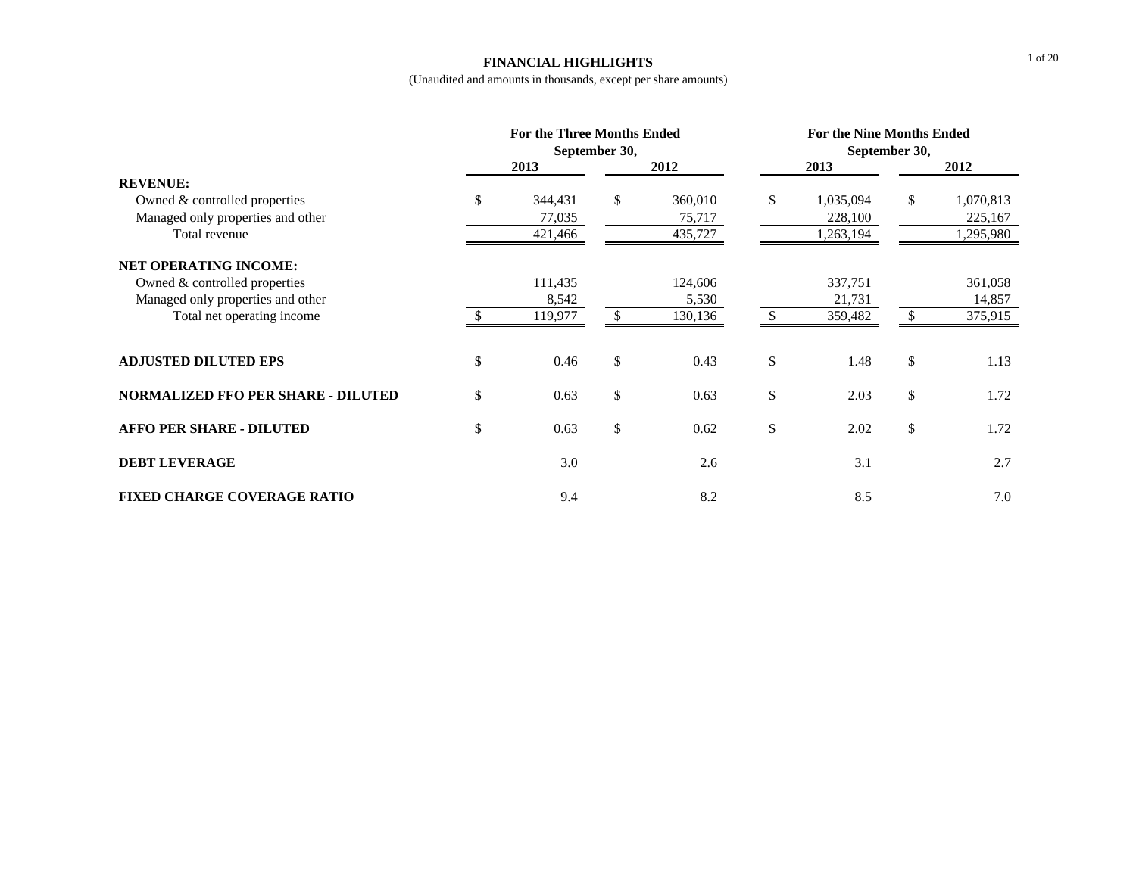#### **FINANCIAL HIGHLIGHTS**

|                                           | <b>For the Three Months Ended</b> | September 30, |         | <b>For the Nine Months Ended</b><br>September 30, |           |    |           |  |
|-------------------------------------------|-----------------------------------|---------------|---------|---------------------------------------------------|-----------|----|-----------|--|
|                                           | 2013                              |               | 2012    |                                                   | 2013      |    | 2012      |  |
| <b>REVENUE:</b>                           |                                   |               |         |                                                   |           |    |           |  |
| Owned & controlled properties             | \$<br>344,431                     | \$            | 360,010 | \$                                                | 1,035,094 | \$ | 1,070,813 |  |
| Managed only properties and other         | 77,035                            |               | 75,717  |                                                   | 228,100   |    | 225,167   |  |
| Total revenue                             | 421,466                           |               | 435,727 |                                                   | 1,263,194 |    | 1,295,980 |  |
| <b>NET OPERATING INCOME:</b>              |                                   |               |         |                                                   |           |    |           |  |
| Owned & controlled properties             | 111,435                           |               | 124,606 |                                                   | 337,751   |    | 361,058   |  |
| Managed only properties and other         | 8,542                             |               | 5,530   |                                                   | 21,731    |    | 14,857    |  |
| Total net operating income                | 119,977                           | \$.           | 130,136 | S.                                                | 359,482   | S. | 375,915   |  |
| <b>ADJUSTED DILUTED EPS</b>               | \$<br>0.46                        | \$            | 0.43    | \$                                                | 1.48      | \$ | 1.13      |  |
| <b>NORMALIZED FFO PER SHARE - DILUTED</b> | \$<br>0.63                        | \$            | 0.63    | \$                                                | 2.03      | \$ | 1.72      |  |
| <b>AFFO PER SHARE - DILUTED</b>           | \$<br>0.63                        | \$            | 0.62    | \$                                                | 2.02      | \$ | 1.72      |  |
| <b>DEBT LEVERAGE</b>                      | 3.0                               |               | 2.6     |                                                   | 3.1       |    | 2.7       |  |
| <b>FIXED CHARGE COVERAGE RATIO</b>        | 9.4                               |               | 8.2     |                                                   | 8.5       |    | 7.0       |  |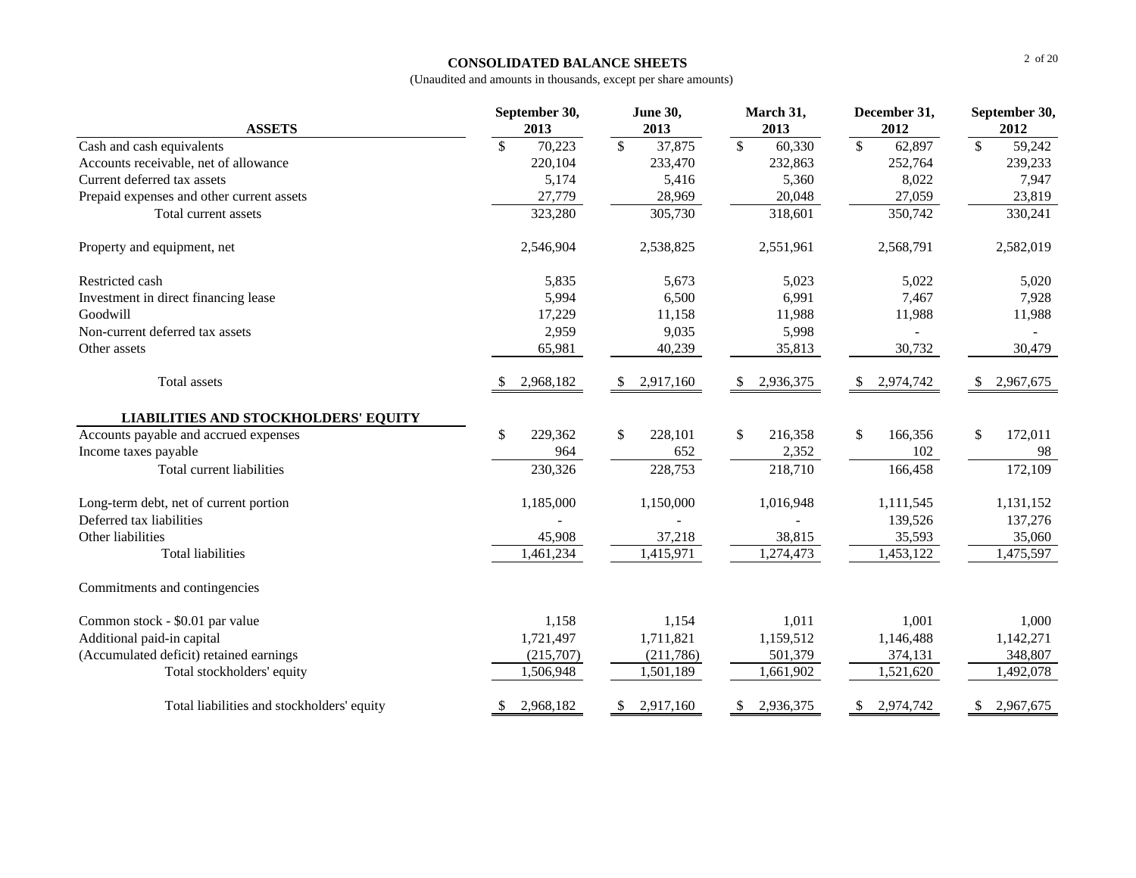### **CONSOLIDATED BALANCE SHEETS**

| <b>ASSETS</b>                               | September 30,<br>2013 | <b>June 30,</b><br>2013 | March 31,<br>2013       | December 31,<br>2012               | September 30,<br>2012 |
|---------------------------------------------|-----------------------|-------------------------|-------------------------|------------------------------------|-----------------------|
| Cash and cash equivalents                   | \$<br>70,223          | $\mathbb{S}$<br>37,875  | $\mathbb{S}$<br>60,330  | $\overline{\mathcal{S}}$<br>62,897 | $\sqrt{S}$<br>59,242  |
| Accounts receivable, net of allowance       | 220,104               | 233,470                 | 232,863                 | 252,764                            | 239,233               |
| Current deferred tax assets                 | 5,174                 | 5,416                   | 5,360                   | 8,022                              | 7,947                 |
| Prepaid expenses and other current assets   | 27,779                | 28,969                  | 20,048                  | 27,059                             | 23,819                |
| Total current assets                        | 323,280               | 305,730                 | 318,601                 | 350,742                            | 330,241               |
| Property and equipment, net                 | 2,546,904             | 2,538,825               | 2,551,961               | 2,568,791                          | 2,582,019             |
| Restricted cash                             | 5,835                 | 5,673                   | 5,023                   | 5,022                              | 5,020                 |
| Investment in direct financing lease        | 5,994                 | 6,500                   | 6,991                   | 7,467                              | 7,928                 |
| Goodwill                                    | 17,229                | 11,158                  | 11,988                  | 11,988                             | 11,988                |
| Non-current deferred tax assets             | 2,959                 | 9,035                   | 5,998                   |                                    |                       |
| Other assets                                | 65,981                | 40,239                  | 35,813                  | 30,732                             | 30,479                |
| Total assets                                | 2,968,182             | 2,917,160<br>\$         | 2,936,375<br>\$         | 2,974,742<br><sup>\$</sup>         | 2,967,675<br>\$       |
| <b>LIABILITIES AND STOCKHOLDERS' EQUITY</b> |                       |                         |                         |                                    |                       |
| Accounts payable and accrued expenses       | \$<br>229,362         | \$<br>228,101           | $\mathbb{S}$<br>216,358 | \$<br>166,356                      | \$<br>172,011         |
| Income taxes payable                        | 964                   | 652                     | 2,352                   | 102                                | 98                    |
| Total current liabilities                   | 230,326               | 228,753                 | 218,710                 | 166,458                            | 172,109               |
| Long-term debt, net of current portion      | 1,185,000             | 1,150,000               | 1,016,948               | 1,111,545                          | 1,131,152             |
| Deferred tax liabilities                    |                       |                         |                         | 139,526                            | 137,276               |
| Other liabilities                           | 45,908                | 37,218                  | 38,815                  | 35,593                             | 35,060                |
| <b>Total liabilities</b>                    | 1,461,234             | 1,415,971               | 1,274,473               | 1,453,122                          | 1,475,597             |
| Commitments and contingencies               |                       |                         |                         |                                    |                       |
| Common stock - \$0.01 par value             | 1,158                 | 1,154                   | 1,011                   | 1,001                              | 1,000                 |
| Additional paid-in capital                  | 1,721,497             | 1,711,821               | 1,159,512               | 1,146,488                          | 1,142,271             |
| (Accumulated deficit) retained earnings     | (215,707)             | (211,786)               | 501,379                 | 374,131                            | 348,807               |
| Total stockholders' equity                  | 1,506,948             | 1,501,189               | 1,661,902               | 1,521,620                          | 1,492,078             |
| Total liabilities and stockholders' equity  | 2,968,182<br>\$       | 2,917,160<br>\$         | 2,936,375<br>\$         | 2,974,742<br>\$                    | 2,967,675<br>\$       |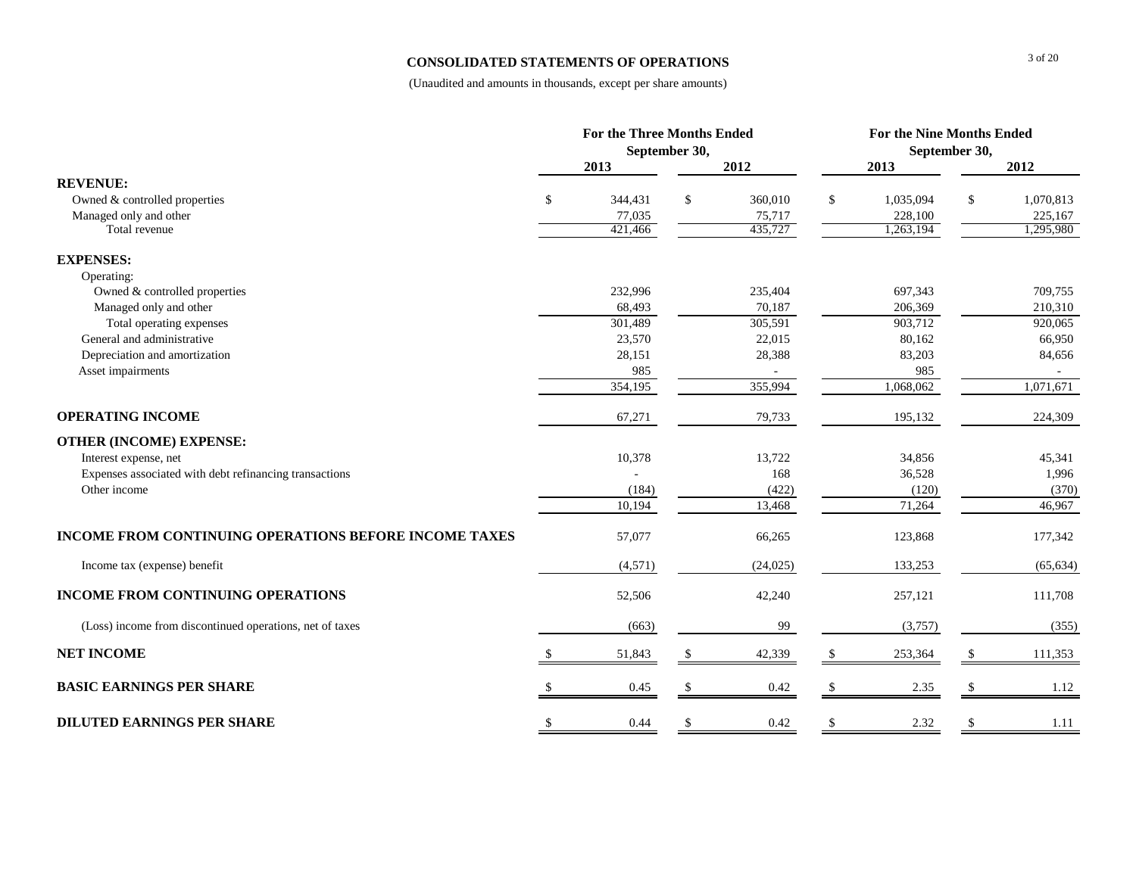### **CONSOLIDATED STATEMENTS OF OPERATIONS**

|                                                              | <b>For the Three Months Ended</b> |               |                   | For the Nine Months Ended  |    |                      |
|--------------------------------------------------------------|-----------------------------------|---------------|-------------------|----------------------------|----|----------------------|
|                                                              |                                   | September 30, |                   | September 30,              |    |                      |
|                                                              | 2013                              |               | 2012              | 2013                       |    | 2012                 |
| <b>REVENUE:</b>                                              | \$                                |               |                   |                            |    |                      |
| Owned & controlled properties<br>Managed only and other      | 344,431<br>77,035                 | \$            | 360,010<br>75,717 | \$<br>1,035,094<br>228,100 | S. | 1,070,813<br>225,167 |
| Total revenue                                                | 421,466                           |               | 435,727           | 1,263,194                  |    | 1,295,980            |
| <b>EXPENSES:</b>                                             |                                   |               |                   |                            |    |                      |
| Operating:                                                   |                                   |               |                   |                            |    |                      |
| Owned & controlled properties                                | 232,996                           |               | 235,404           | 697,343                    |    | 709,755              |
| Managed only and other                                       | 68,493                            |               | 70,187            | 206,369                    |    | 210,310              |
| Total operating expenses                                     | 301,489                           |               | 305,591           | 903,712                    |    | 920,065              |
| General and administrative                                   | 23,570                            |               | 22,015            | 80,162                     |    | 66,950               |
| Depreciation and amortization                                | 28,151                            |               | 28,388            | 83,203                     |    | 84,656               |
| Asset impairments                                            | 985                               |               |                   | 985                        |    |                      |
|                                                              | 354,195                           |               | 355,994           | 1,068,062                  |    | 1,071,671            |
| <b>OPERATING INCOME</b>                                      | 67,271                            |               | 79,733            | 195,132                    |    | 224,309              |
| <b>OTHER (INCOME) EXPENSE:</b>                               |                                   |               |                   |                            |    |                      |
| Interest expense, net                                        | 10,378                            |               | 13,722            | 34,856                     |    | 45,341               |
| Expenses associated with debt refinancing transactions       |                                   |               | 168               | 36,528                     |    | 1,996                |
| Other income                                                 | (184)                             |               | (422)             | (120)                      |    | (370)                |
|                                                              | 10,194                            |               | 13,468            | 71,264                     |    | 46,967               |
| <b>INCOME FROM CONTINUING OPERATIONS BEFORE INCOME TAXES</b> | 57,077                            |               | 66,265            | 123,868                    |    | 177,342              |
| Income tax (expense) benefit                                 | (4,571)                           |               | (24, 025)         | 133,253                    |    | (65, 634)            |
| <b>INCOME FROM CONTINUING OPERATIONS</b>                     | 52,506                            |               | 42,240            | 257,121                    |    | 111,708              |
| (Loss) income from discontinued operations, net of taxes     | (663)                             |               | 99                | (3,757)                    |    | (355)                |
| <b>NET INCOME</b>                                            | \$<br>51,843                      | \$            | 42,339            | \$<br>253,364              |    | 111,353              |
| <b>BASIC EARNINGS PER SHARE</b>                              | 0.45                              |               | 0.42              | 2.35                       |    | 1.12                 |
| <b>DILUTED EARNINGS PER SHARE</b>                            | \$<br>0.44                        | \$            | 0.42              | \$<br>2.32                 | -S | 1.11                 |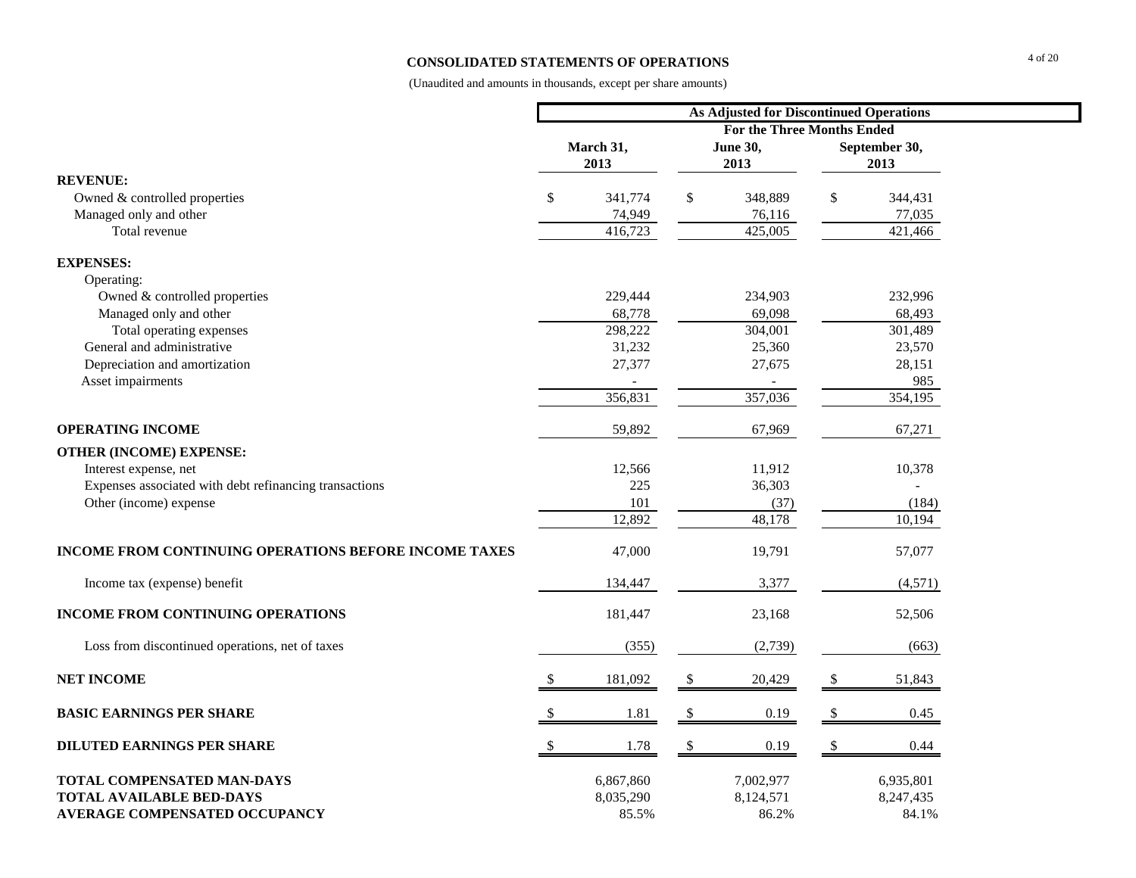### **CONSOLIDATED STATEMENTS OF OPERATIONS**

|                                                              |               |                                   |               | As Adjusted for Discontinued Operations |              |                       |  |  |  |  |
|--------------------------------------------------------------|---------------|-----------------------------------|---------------|-----------------------------------------|--------------|-----------------------|--|--|--|--|
|                                                              |               | <b>For the Three Months Ended</b> |               |                                         |              |                       |  |  |  |  |
|                                                              |               | March 31,<br>2013                 |               | <b>June 30,</b><br>2013                 |              | September 30,<br>2013 |  |  |  |  |
| <b>REVENUE:</b>                                              |               |                                   |               |                                         |              |                       |  |  |  |  |
| Owned & controlled properties                                | $\mathbb{S}$  | 341,774                           | \$            | 348,889                                 | $\mathbb{S}$ | 344,431               |  |  |  |  |
| Managed only and other                                       |               | 74,949                            |               | 76,116                                  |              | 77,035                |  |  |  |  |
| Total revenue                                                |               | 416,723                           |               | 425,005                                 |              | 421,466               |  |  |  |  |
| <b>EXPENSES:</b>                                             |               |                                   |               |                                         |              |                       |  |  |  |  |
| Operating:                                                   |               |                                   |               |                                         |              |                       |  |  |  |  |
| Owned & controlled properties                                |               | 229,444                           |               | 234,903                                 |              | 232,996               |  |  |  |  |
| Managed only and other                                       |               | 68,778                            |               | 69,098                                  |              | 68,493                |  |  |  |  |
| Total operating expenses                                     |               | 298,222                           |               | 304,001                                 |              | 301,489               |  |  |  |  |
| General and administrative                                   |               | 31,232                            |               | 25,360                                  |              | 23,570                |  |  |  |  |
| Depreciation and amortization                                |               | 27,377                            |               | 27,675                                  |              | 28,151                |  |  |  |  |
| Asset impairments                                            |               |                                   |               |                                         |              | 985                   |  |  |  |  |
|                                                              |               | 356,831                           |               | 357,036                                 |              | 354,195               |  |  |  |  |
| <b>OPERATING INCOME</b>                                      |               | 59,892                            |               | 67,969                                  |              | 67,271                |  |  |  |  |
| <b>OTHER (INCOME) EXPENSE:</b>                               |               |                                   |               |                                         |              |                       |  |  |  |  |
| Interest expense, net                                        |               | 12,566                            |               | 11,912                                  |              | 10,378                |  |  |  |  |
| Expenses associated with debt refinancing transactions       |               | 225                               |               | 36,303                                  |              |                       |  |  |  |  |
| Other (income) expense                                       |               | 101                               |               | (37)                                    |              | (184)                 |  |  |  |  |
|                                                              |               | 12,892                            |               | 48,178                                  |              | 10,194                |  |  |  |  |
| <b>INCOME FROM CONTINUING OPERATIONS BEFORE INCOME TAXES</b> |               | 47,000                            |               | 19,791                                  |              | 57,077                |  |  |  |  |
| Income tax (expense) benefit                                 |               | 134,447                           |               | 3,377                                   |              | (4,571)               |  |  |  |  |
| INCOME FROM CONTINUING OPERATIONS                            |               | 181,447                           |               | 23,168                                  |              | 52,506                |  |  |  |  |
| Loss from discontinued operations, net of taxes              |               | (355)                             |               | (2,739)                                 |              | (663)                 |  |  |  |  |
| <b>NET INCOME</b>                                            |               | 181,092                           | S.            | 20,429                                  | \$           | 51,843                |  |  |  |  |
| <b>BASIC EARNINGS PER SHARE</b>                              |               | 1.81                              | \$            | 0.19                                    | \$           | 0.45                  |  |  |  |  |
| <b>DILUTED EARNINGS PER SHARE</b>                            | $\mathcal{S}$ | 1.78                              | <sup>\$</sup> | 0.19                                    | $\mathbb{S}$ | 0.44                  |  |  |  |  |
| TOTAL COMPENSATED MAN-DAYS                                   |               | 6,867,860                         |               | 7,002,977                               |              | 6,935,801             |  |  |  |  |
| <b>TOTAL AVAILABLE BED-DAYS</b>                              |               | 8,035,290                         |               | 8,124,571                               |              | 8,247,435             |  |  |  |  |
| AVERAGE COMPENSATED OCCUPANCY                                |               | 85.5%                             |               | 86.2%                                   |              | 84.1%                 |  |  |  |  |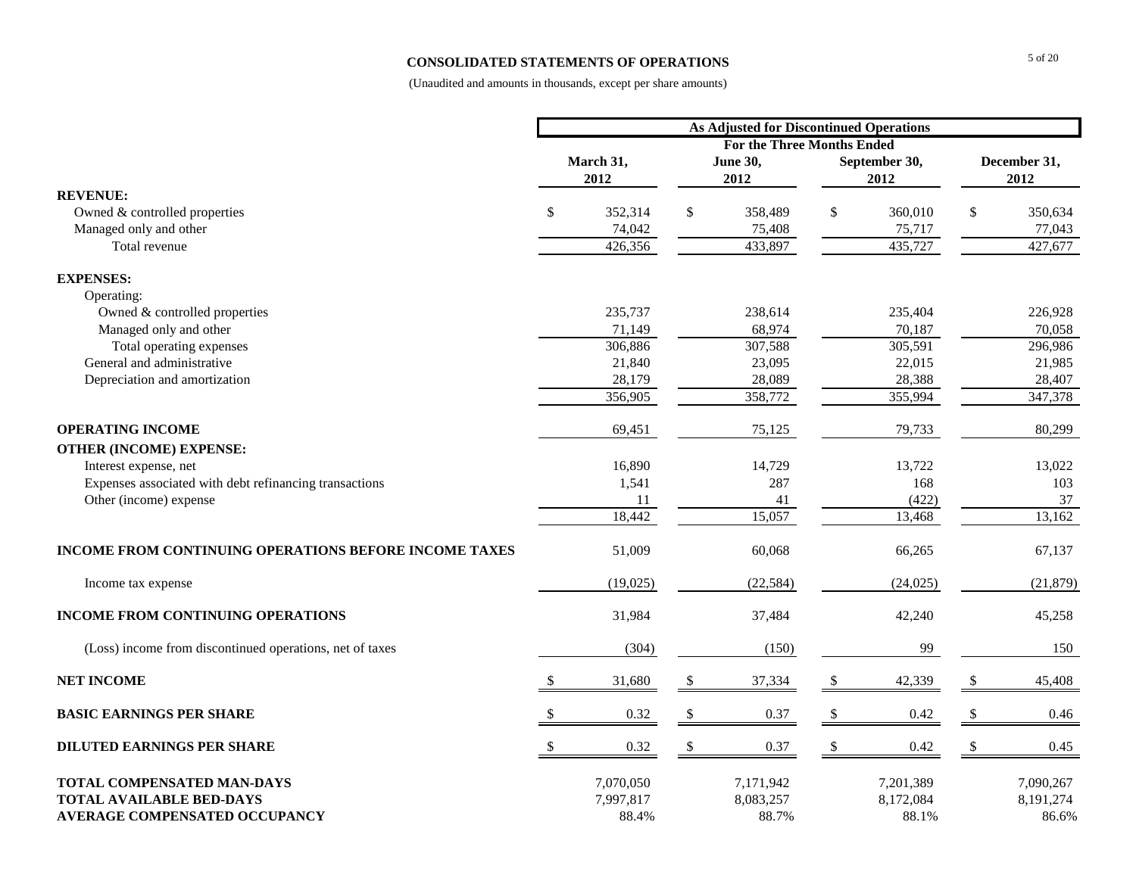### **CONSOLIDATED STATEMENTS OF OPERATIONS**

|                                                                                                       | <b>As Adjusted for Discontinued Operations</b> |                                 |               |                                 |               |                                 |    |                                 |  |  |
|-------------------------------------------------------------------------------------------------------|------------------------------------------------|---------------------------------|---------------|---------------------------------|---------------|---------------------------------|----|---------------------------------|--|--|
|                                                                                                       |                                                |                                 |               |                                 |               |                                 |    |                                 |  |  |
|                                                                                                       |                                                | March 31,<br>2012               |               | <b>June 30,</b><br>2012         |               | September 30,<br>2012           |    | December 31,<br>2012            |  |  |
| <b>REVENUE:</b>                                                                                       |                                                |                                 |               |                                 |               |                                 |    |                                 |  |  |
| Owned & controlled properties                                                                         | \$                                             | 352,314                         | $\mathsf{\$}$ | 358,489                         | \$            | 360,010                         | \$ | 350,634                         |  |  |
| Managed only and other                                                                                |                                                | 74,042                          |               | 75,408                          |               | 75,717                          |    | 77,043                          |  |  |
| Total revenue                                                                                         |                                                | 426,356                         |               | 433,897                         |               | 435,727                         |    | 427,677                         |  |  |
| <b>EXPENSES:</b>                                                                                      |                                                |                                 |               |                                 |               |                                 |    |                                 |  |  |
| Operating:                                                                                            |                                                |                                 |               |                                 |               |                                 |    |                                 |  |  |
| Owned & controlled properties                                                                         |                                                | 235,737                         |               | 238,614                         |               | 235,404                         |    | 226,928                         |  |  |
| Managed only and other                                                                                |                                                | 71,149                          |               | 68,974                          |               | 70,187                          |    | 70,058                          |  |  |
| Total operating expenses                                                                              |                                                | 306,886                         |               | 307,588                         |               | 305,591                         |    | 296,986                         |  |  |
| General and administrative                                                                            |                                                | 21,840                          |               | 23,095                          |               | 22,015                          |    | 21,985                          |  |  |
| Depreciation and amortization                                                                         |                                                | 28,179                          |               | 28,089                          |               | 28,388                          |    | 28,407                          |  |  |
|                                                                                                       |                                                | 356,905                         |               | 358,772                         |               | 355,994                         |    | 347,378                         |  |  |
| <b>OPERATING INCOME</b>                                                                               |                                                | 69,451                          |               | 75,125                          |               | 79,733                          |    | 80,299                          |  |  |
| <b>OTHER (INCOME) EXPENSE:</b>                                                                        |                                                |                                 |               |                                 |               |                                 |    |                                 |  |  |
| Interest expense, net                                                                                 |                                                | 16,890                          |               | 14,729                          |               | 13,722                          |    | 13,022                          |  |  |
| Expenses associated with debt refinancing transactions                                                |                                                | 1,541                           |               | 287                             |               | 168                             |    | 103                             |  |  |
| Other (income) expense                                                                                |                                                | 11                              |               | 41                              |               | (422)                           |    | 37                              |  |  |
|                                                                                                       |                                                | 18,442                          |               | 15,057                          |               | 13,468                          |    | 13,162                          |  |  |
| INCOME FROM CONTINUING OPERATIONS BEFORE INCOME TAXES                                                 |                                                | 51,009                          |               | 60,068                          |               | 66,265                          |    | 67,137                          |  |  |
| Income tax expense                                                                                    |                                                | (19,025)                        |               | (22, 584)                       |               | (24, 025)                       |    | (21, 879)                       |  |  |
| <b>INCOME FROM CONTINUING OPERATIONS</b>                                                              |                                                | 31,984                          |               | 37,484                          |               | 42,240                          |    | 45,258                          |  |  |
| (Loss) income from discontinued operations, net of taxes                                              |                                                | (304)                           |               | (150)                           |               | 99                              |    | 150                             |  |  |
| <b>NET INCOME</b>                                                                                     |                                                | 31,680                          | <sup>\$</sup> | 37,334                          | -S            | 42,339                          |    | 45,408                          |  |  |
| <b>BASIC EARNINGS PER SHARE</b>                                                                       | <sup>\$</sup>                                  | 0.32                            | \$            | 0.37                            | <sup>\$</sup> | 0.42                            | S  | 0.46                            |  |  |
| <b>DILUTED EARNINGS PER SHARE</b>                                                                     | $\mathcal{S}$                                  | 0.32                            | $\mathbb{S}$  | 0.37                            | $\mathbb{S}$  | 0.42                            |    | 0.45                            |  |  |
| TOTAL COMPENSATED MAN-DAYS<br><b>TOTAL AVAILABLE BED-DAYS</b><br><b>AVERAGE COMPENSATED OCCUPANCY</b> |                                                | 7,070,050<br>7,997,817<br>88.4% |               | 7,171,942<br>8,083,257<br>88.7% |               | 7,201,389<br>8,172,084<br>88.1% |    | 7,090,267<br>8,191,274<br>86.6% |  |  |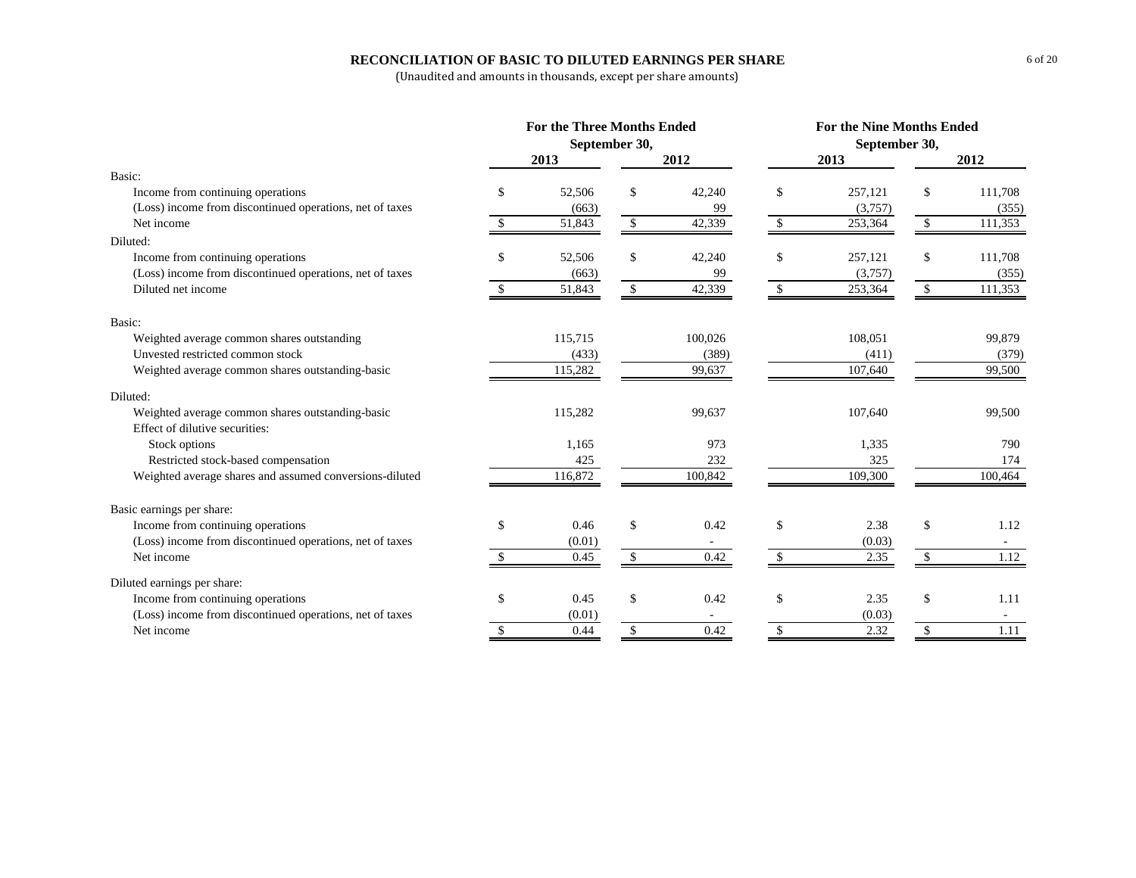### **RECONCILIATION OF BASIC TO DILUTED EARNINGS PER SHARE**

|                                                          | <b>For the Three Months Ended</b> |              |                |                    | <b>For the Nine Months Ended</b> |               |                |
|----------------------------------------------------------|-----------------------------------|--------------|----------------|--------------------|----------------------------------|---------------|----------------|
|                                                          | September 30,                     |              |                |                    | September 30,                    |               |                |
|                                                          | 2013                              |              | 2012           |                    | 2013                             |               | 2012           |
| Basic:                                                   |                                   |              |                |                    |                                  |               |                |
| Income from continuing operations                        | \$<br>52,506                      | \$           | 42,240         | \$                 | 257,121                          | \$            | 111,708        |
| (Loss) income from discontinued operations, net of taxes | (663)                             |              | 99             |                    | (3,757)                          |               | (355)          |
| Net income                                               | \$<br>51,843                      | \$           | 42,339         | $\mathbf{\hat{S}}$ | 253,364                          | \$            | 111,353        |
| Diluted:                                                 |                                   |              |                |                    |                                  |               |                |
| Income from continuing operations                        | \$<br>52,506                      | $\mathbf S$  | 42,240         | \$                 | 257,121                          | $\mathbf{s}$  | 111,708        |
| (Loss) income from discontinued operations, net of taxes | (663)                             |              | 99             |                    | (3,757)                          |               | (355)          |
| Diluted net income                                       | 51,843                            | \$           | 42,339         | <sup>\$</sup>      | 253,364                          | \$            | 111,353        |
| Basic:                                                   |                                   |              |                |                    |                                  |               |                |
| Weighted average common shares outstanding               | 115,715                           |              | 100,026        |                    | 108,051                          |               | 99,879         |
| Unvested restricted common stock                         | (433)                             |              | (389)          |                    | (411)                            |               | (379)          |
| Weighted average common shares outstanding-basic         | 115,282                           |              | 99,637         |                    | 107,640                          |               | 99,500         |
| Diluted:                                                 |                                   |              |                |                    |                                  |               |                |
| Weighted average common shares outstanding-basic         | 115,282                           |              | 99,637         |                    | 107,640                          |               | 99,500         |
| Effect of dilutive securities:                           |                                   |              | 973            |                    |                                  |               | 790            |
| Stock options                                            | 1,165                             |              |                |                    | 1,335                            |               |                |
| Restricted stock-based compensation                      | 425                               |              | 232<br>100,842 |                    | 325                              |               | 174<br>100,464 |
| Weighted average shares and assumed conversions-diluted  | 116,872                           |              |                |                    | 109,300                          |               |                |
| Basic earnings per share:                                |                                   |              |                |                    |                                  |               |                |
| Income from continuing operations                        | \$<br>0.46                        | \$           | 0.42           | \$                 | 2.38                             | \$            | 1.12           |
| (Loss) income from discontinued operations, net of taxes | (0.01)                            |              |                |                    | (0.03)                           |               |                |
| Net income                                               | 0.45                              | $\mathbf{s}$ | 0.42           | \$                 | 2.35                             | <sup>\$</sup> | 1.12           |
| Diluted earnings per share:                              |                                   |              |                |                    |                                  |               |                |
| Income from continuing operations                        | \$<br>0.45                        | \$           | 0.42           | \$                 | 2.35                             | \$            | 1.11           |
| (Loss) income from discontinued operations, net of taxes | (0.01)                            |              |                |                    | (0.03)                           |               |                |
| Net income                                               | \$<br>0.44                        | \$           | 0.42           | \$                 | 2.32                             | \$            | 1.11           |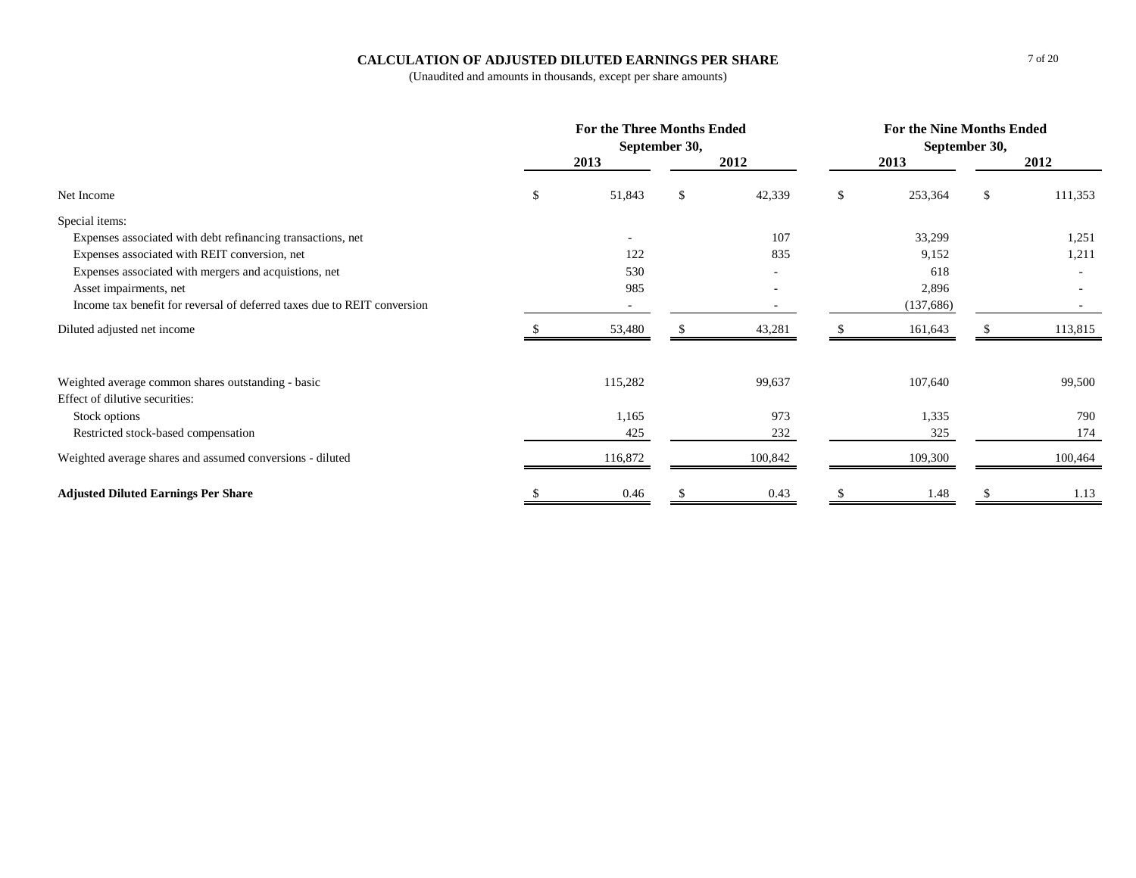### **CALCULATION OF ADJUSTED DILUTED EARNINGS PER SHARE**

|                                                                          | <b>For the Three Months Ended</b> | September 30, |         | <b>For the Nine Months Ended</b> | September 30, |         |
|--------------------------------------------------------------------------|-----------------------------------|---------------|---------|----------------------------------|---------------|---------|
|                                                                          | 2013                              |               | 2012    | 2013                             |               | 2012    |
| Net Income                                                               | \$<br>51,843                      | \$            | 42,339  | \$<br>253,364                    | \$            | 111,353 |
| Special items:                                                           |                                   |               |         |                                  |               |         |
| Expenses associated with debt refinancing transactions, net              |                                   |               | 107     | 33,299                           |               | 1,251   |
| Expenses associated with REIT conversion, net                            | 122                               |               | 835     | 9,152                            |               | 1,211   |
| Expenses associated with mergers and acquistions, net                    | 530                               |               |         | 618                              |               |         |
| Asset impairments, net                                                   | 985                               |               |         | 2,896                            |               |         |
| Income tax benefit for reversal of deferred taxes due to REIT conversion | $\sim$                            |               |         | (137,686)                        |               | $\sim$  |
| Diluted adjusted net income                                              | 53,480                            |               | 43,281  | 161,643                          |               | 113,815 |
| Weighted average common shares outstanding - basic                       | 115,282                           |               | 99,637  | 107,640                          |               | 99,500  |
| Effect of dilutive securities:                                           | 1,165                             |               | 973     | 1,335                            |               | 790     |
| Stock options                                                            | 425                               |               | 232     | 325                              |               | 174     |
| Restricted stock-based compensation                                      |                                   |               |         |                                  |               |         |
| Weighted average shares and assumed conversions - diluted                | 116,872                           |               | 100,842 | 109,300                          |               | 100,464 |
| <b>Adjusted Diluted Earnings Per Share</b>                               | 0.46                              |               | 0.43    | 1.48                             |               | 1.13    |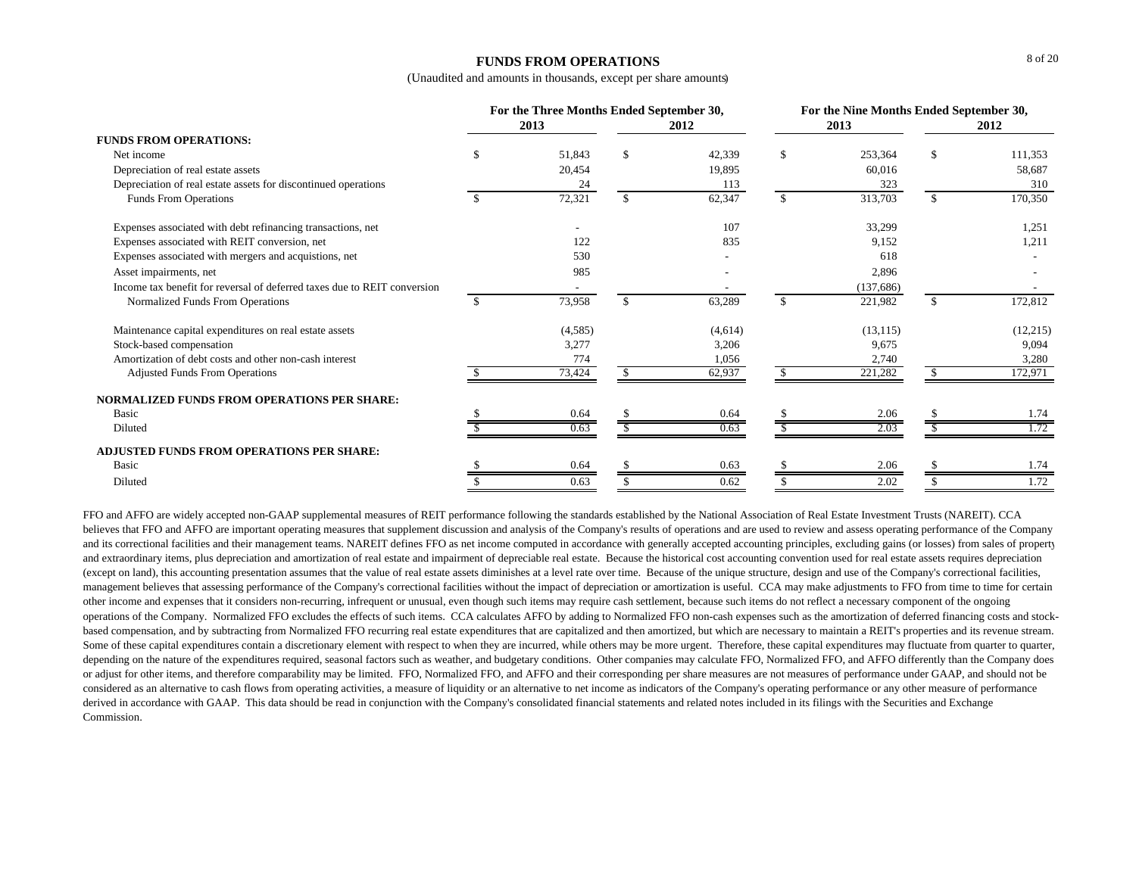### **FUNDS FROM OPERATIONS**

(Unaudited and amounts in thousands, except per share amounts)

|                                                                          | For the Three Months Ended September 30,<br>2013<br>2012 |         |               |         |               | For the Nine Months Ended September 30,<br>2013<br>2012 |     |          |  |  |
|--------------------------------------------------------------------------|----------------------------------------------------------|---------|---------------|---------|---------------|---------------------------------------------------------|-----|----------|--|--|
| <b>FUNDS FROM OPERATIONS:</b>                                            |                                                          |         |               |         |               |                                                         |     |          |  |  |
| Net income                                                               | \$.                                                      | 51,843  | <sup>\$</sup> | 42,339  | S.            | 253,364                                                 | \$  | 111,353  |  |  |
| Depreciation of real estate assets                                       |                                                          | 20,454  |               | 19,895  |               | 60,016                                                  |     | 58,687   |  |  |
| Depreciation of real estate assets for discontinued operations           |                                                          | 24      |               | 113     |               | 323                                                     |     | 310      |  |  |
| Funds From Operations                                                    |                                                          | 72,321  | \$.           | 62,347  | \$.           | 313,703                                                 | \$. | 170,350  |  |  |
| Expenses associated with debt refinancing transactions, net              |                                                          |         |               | 107     |               | 33,299                                                  |     | 1,251    |  |  |
| Expenses associated with REIT conversion, net                            |                                                          | 122     |               | 835     |               | 9,152                                                   |     | 1,211    |  |  |
| Expenses associated with mergers and acquistions, net                    |                                                          | 530     |               |         |               | 618                                                     |     |          |  |  |
| Asset impairments, net                                                   |                                                          | 985     |               |         |               | 2,896                                                   |     |          |  |  |
| Income tax benefit for reversal of deferred taxes due to REIT conversion |                                                          |         |               |         |               | (137, 686)                                              |     |          |  |  |
| Normalized Funds From Operations                                         | -S                                                       | 73,958  | \$.           | 63,289  | <sup>\$</sup> | 221,982                                                 | \$. | 172,812  |  |  |
| Maintenance capital expenditures on real estate assets                   |                                                          | (4,585) |               | (4,614) |               | (13, 115)                                               |     | (12,215) |  |  |
| Stock-based compensation                                                 |                                                          | 3,277   |               | 3,206   |               | 9,675                                                   |     | 9,094    |  |  |
| Amortization of debt costs and other non-cash interest                   |                                                          | 774     |               | 1,056   |               | 2,740                                                   |     | 3,280    |  |  |
| <b>Adjusted Funds From Operations</b>                                    |                                                          | 73,424  | -S            | 62,937  | -SS           | $\overline{221,282}$                                    | -SS | 172,971  |  |  |
| NORMALIZED FUNDS FROM OPERATIONS PER SHARE:                              |                                                          |         |               |         |               |                                                         |     |          |  |  |
| Basic                                                                    |                                                          | 0.64    |               | 0.64    |               | 2.06                                                    |     | 1.74     |  |  |
| Diluted                                                                  |                                                          | 0.63    |               | 0.63    |               | 2.03                                                    |     | 1.72     |  |  |
| ADJUSTED FUNDS FROM OPERATIONS PER SHARE:                                |                                                          |         |               |         |               |                                                         |     |          |  |  |
| Basic                                                                    |                                                          | 0.64    |               | 0.63    |               | 2.06                                                    |     | 1.74     |  |  |
| Diluted                                                                  |                                                          | 0.63    | \$            | 0.62    |               | 2.02                                                    | \$  | 1.72     |  |  |

FFO and AFFO are widely accepted non-GAAP supplemental measures of REIT performance following the standards established by the National Association of Real Estate Investment Trusts (NAREIT). CCA believes that FFO and AFFO are important operating measures that supplement discussion and analysis of the Company's results of operations and are used to review and assess operating performance of the Company and its correctional facilities and their management teams. NAREIT defines FFO as net income computed in accordance with generally accepted accounting principles, excluding gains (or losses) from sales of property and extraordinary items, plus depreciation and amortization of real estate and impairment of depreciable real estate. Because the historical cost accounting convention used for real estate assets requires depreciation (except on land), this accounting presentation assumes that the value of real estate assets diminishes at a level rate over time. Because of the unique structure, design and use of the Company's correctional facilities, management believes that assessing performance of the Company's correctional facilities without the impact of depreciation or amortization is useful. CCA may make adjustments to FFO from time to time for certain other income and expenses that it considers non-recurring, infrequent or unusual, even though such items may require cash settlement, because such items do not reflect a necessary component of the ongoing operations of the Company. Normalized FFO excludes the effects of such items. CCA calculates AFFO by adding to Normalized FFO non-cash expenses such as the amortization of deferred financing costs and stockbased compensation, and by subtracting from Normalized FFO recurring real estate expenditures that are capitalized and then amortized, but which are necessary to maintain a REIT's properties and its revenue stream. Some of these capital expenditures contain a discretionary element with respect to when they are incurred, while others may be more urgent. Therefore, these capital expenditures may fluctuate from quarter to quarter, depending on the nature of the expenditures required, seasonal factors such as weather, and budgetary conditions. Other companies may calculate FFO, Normalized FFO, and AFFO differently than the Company does or adjust for other items, and therefore comparability may be limited. FFO, Normalized FFO, and AFFO and their corresponding per share measures are not measures of performance under GAAP, and should not be considered as an alternative to cash flows from operating activities, a measure of liquidity or an alternative to net income as indicators of the Company's operating performance or any other measure of performance derived in accordance with GAAP. This data should be read in conjunction with the Company's consolidated financial statements and related notes included in its filings with the Securities and Exchange Commission.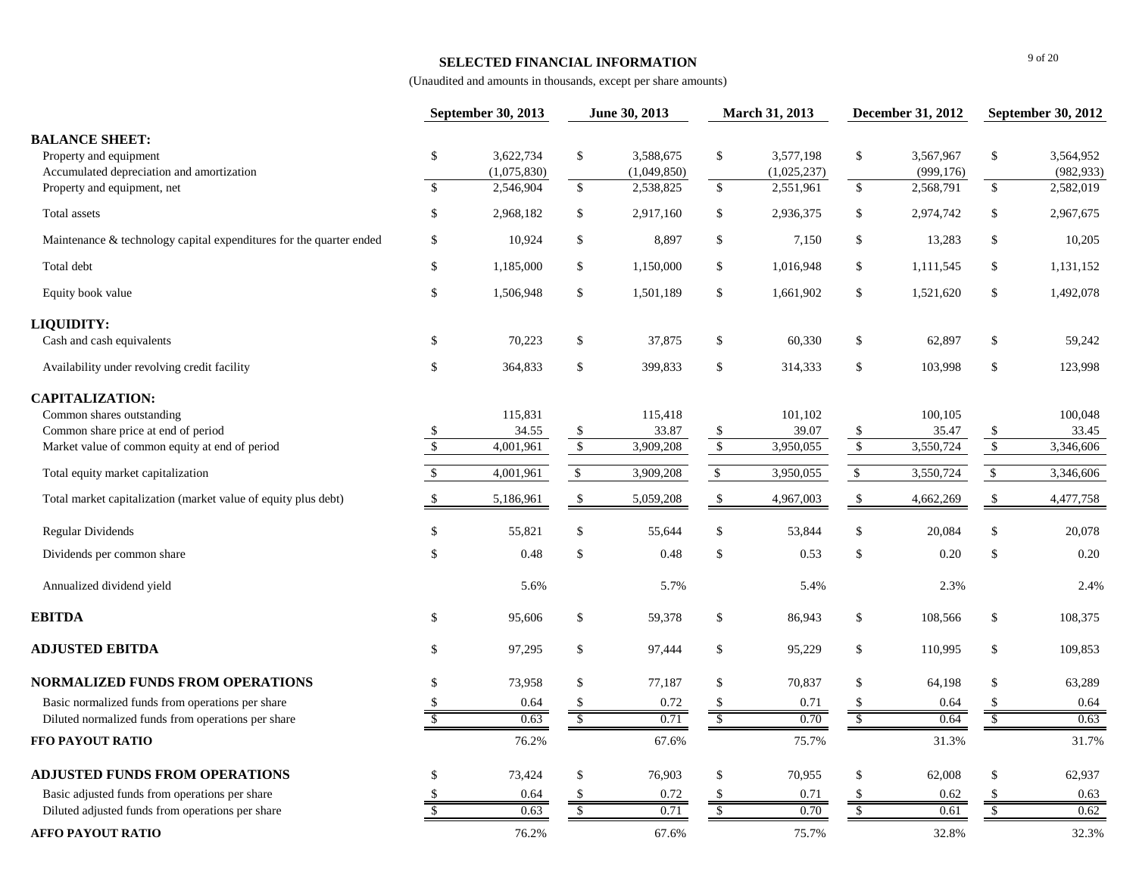### **SELECTED FINANCIAL INFORMATION**

|                                                                                              |                         | September 30, 2013       |              | June 30, 2013            |                           | March 31, 2013           |               | <b>December 31, 2012</b> |                           | <b>September 30, 2012</b> |
|----------------------------------------------------------------------------------------------|-------------------------|--------------------------|--------------|--------------------------|---------------------------|--------------------------|---------------|--------------------------|---------------------------|---------------------------|
| <b>BALANCE SHEET:</b><br>Property and equipment<br>Accumulated depreciation and amortization | $\mathbb{S}$            | 3,622,734<br>(1,075,830) | $\mathbb{S}$ | 3,588,675<br>(1,049,850) | \$                        | 3,577,198<br>(1,025,237) | \$            | 3,567,967<br>(999, 176)  | \$                        | 3,564,952<br>(982, 933)   |
| Property and equipment, net                                                                  | \$                      | 2,546,904                | $\mathbb S$  | 2,538,825                | $\mathbb{S}$              | 2,551,961                | $\$\,$        | 2,568,791                | $\mathbb{S}$              | 2,582,019                 |
| Total assets                                                                                 | \$                      | 2,968,182                | \$           | 2,917,160                | $\$$                      | 2,936,375                | \$            | 2,974,742                | \$                        | 2,967,675                 |
| Maintenance & technology capital expenditures for the quarter ended                          | \$                      | 10,924                   | \$           | 8,897                    | \$                        | 7,150                    | \$            | 13,283                   | \$                        | 10,205                    |
| Total debt                                                                                   | $\mathbb{S}$            | 1,185,000                | \$           | 1,150,000                | \$                        | 1,016,948                | \$            | 1,111,545                | \$                        | 1,131,152                 |
| Equity book value                                                                            | \$                      | 1,506,948                | \$           | 1,501,189                | \$                        | 1,661,902                | \$            | 1,521,620                | $\boldsymbol{\mathsf{S}}$ | 1,492,078                 |
| LIQUIDITY:                                                                                   |                         |                          |              |                          |                           |                          |               |                          |                           |                           |
| Cash and cash equivalents                                                                    | \$                      | 70,223                   | \$           | 37,875                   | $\boldsymbol{\mathsf{S}}$ | 60,330                   | \$            | 62,897                   | $\boldsymbol{\mathsf{S}}$ | 59,242                    |
| Availability under revolving credit facility                                                 | \$                      | 364,833                  | \$           | 399,833                  | $\boldsymbol{\mathsf{S}}$ | 314,333                  | \$            | 103,998                  | \$                        | 123,998                   |
| <b>CAPITALIZATION:</b>                                                                       |                         |                          |              |                          |                           |                          |               |                          |                           |                           |
| Common shares outstanding<br>Common share price at end of period                             | \$                      | 115,831<br>34.55         | \$           | 115,418<br>33.87         | \$                        | 101,102<br>39.07         | \$            | 100,105<br>35.47         | \$                        | 100,048<br>33.45          |
| Market value of common equity at end of period                                               | $\overline{\$}$         | 4,001,961                | $\sqrt{3}$   | 3,909,208                | $\sqrt{\frac{1}{2}}$      | 3,950,055                | $\sqrt{3}$    | 3,550,724                | $\sqrt{\frac{1}{2}}$      | 3,346,606                 |
| Total equity market capitalization                                                           | $\mathsf{\$}$           | 4,001,961                | $\mathbb{S}$ | 3,909,208                | $\mathbb{S}$              | 3,950,055                | $\$$          | 3,550,724                | $\mathbb{S}$              | 3,346,606                 |
| Total market capitalization (market value of equity plus debt)                               | \$                      | 5,186,961                | \$           | 5,059,208                | \$                        | 4,967,003                | \$            | 4,662,269                | \$                        | 4,477,758                 |
| <b>Regular Dividends</b>                                                                     | $\mathbb{S}$            | 55,821                   | \$           | 55,644                   | $\mathbb{S}$              | 53,844                   | \$            | 20,084                   | $\sqrt{\ }$               | 20,078                    |
| Dividends per common share                                                                   | $\mathbb{S}$            | 0.48                     | \$           | 0.48                     | $\$$                      | 0.53                     | \$            | 0.20                     | $\mathbb{S}$              | 0.20                      |
| Annualized dividend yield                                                                    |                         | 5.6%                     |              | 5.7%                     |                           | 5.4%                     |               | 2.3%                     |                           | 2.4%                      |
| <b>EBITDA</b>                                                                                | \$                      | 95,606                   | \$           | 59,378                   | $\$$                      | 86,943                   | \$            | 108,566                  | \$                        | 108,375                   |
| <b>ADJUSTED EBITDA</b>                                                                       | $\mathbb{S}$            | 97,295                   | $\$$         | 97,444                   | $\mathbb{S}$              | 95,229                   | \$            | 110,995                  | $\mathbb{S}$              | 109,853                   |
| <b>NORMALIZED FUNDS FROM OPERATIONS</b>                                                      | \$                      | 73,958                   | \$           | 77,187                   | $\mathbb{S}$              | 70,837                   | \$            | 64,198                   | $\mathbb{S}$              | 63,289                    |
| Basic normalized funds from operations per share                                             | \$                      | 0.64                     | \$           | 0.72                     | $\mathbb{S}$              | 0.71                     | \$            | 0.64                     | $\mathbb{S}$              | 0.64                      |
| Diluted normalized funds from operations per share                                           | $\overline{\mathbf{s}}$ | 0.63                     | $\sqrt{S}$   | 0.71                     | $\sqrt$                   | 0.70                     | $\sqrt{2}$    | 0.64                     | $\sqrt{\frac{2}{5}}$      | 0.63                      |
| FFO PAYOUT RATIO                                                                             |                         | 76.2%                    |              | 67.6%                    |                           | 75.7%                    |               | 31.3%                    |                           | 31.7%                     |
| <b>ADJUSTED FUNDS FROM OPERATIONS</b>                                                        | \$                      | 73,424                   | \$           | 76,903                   | $\boldsymbol{\mathsf{S}}$ | 70,955                   | \$            | 62,008                   | $\$$                      | 62,937                    |
| Basic adjusted funds from operations per share                                               | \$                      | 0.64                     | \$           | 0.72                     | \$                        | 0.71                     | <sup>\$</sup> | 0.62                     | \$                        | 0.63                      |
| Diluted adjusted funds from operations per share                                             | $\mathbb{S}$            | 0.63                     | $\mathbb{S}$ | 0.71                     | $\sqrt{\frac{2}{5}}$      | 0.70                     | \$            | 0.61                     | $\sqrt{\frac{2}{\pi}}$    | 0.62                      |
| <b>AFFO PAYOUT RATIO</b>                                                                     |                         | 76.2%                    |              | 67.6%                    |                           | 75.7%                    |               | 32.8%                    |                           | 32.3%                     |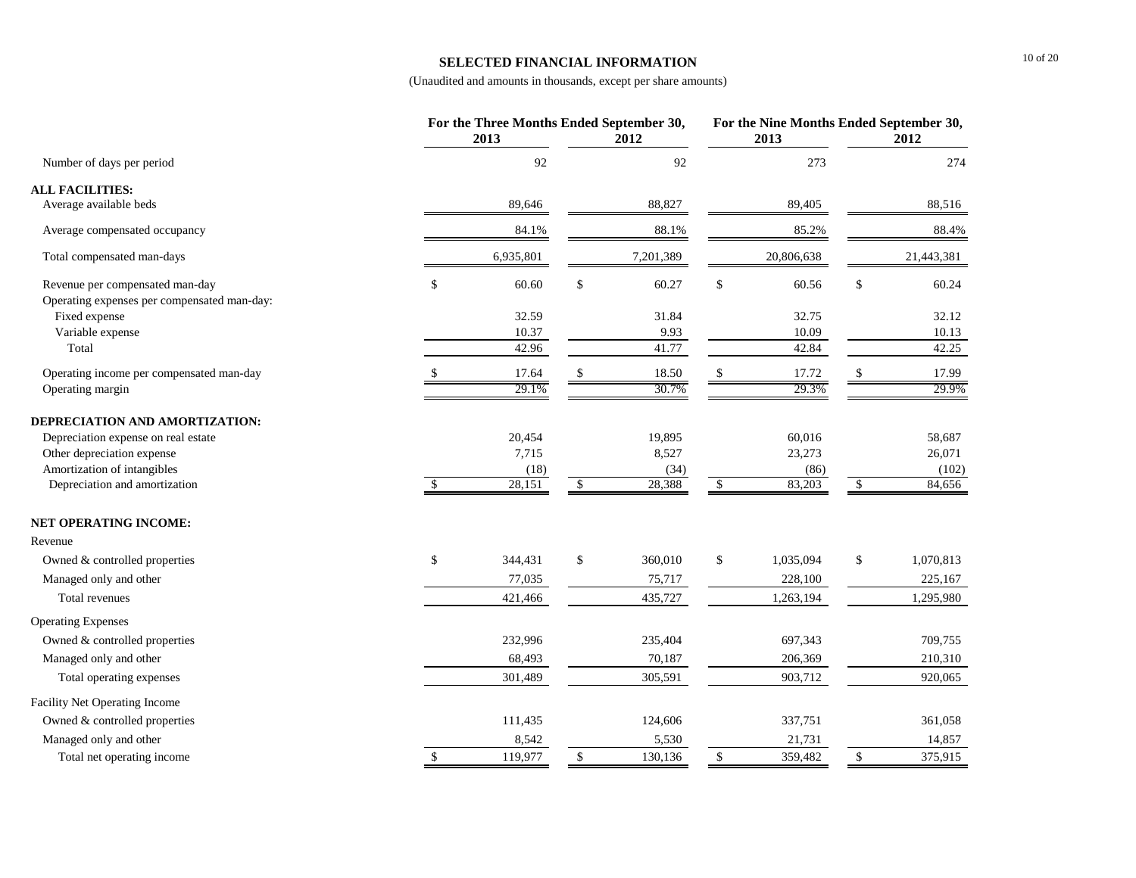#### **SELECTED FINANCIAL INFORMATION**

|                                             |              | For the Three Months Ended September 30,<br>2013 |              | 2012      | For the Nine Months Ended September 30,<br>2013 | 2012            |
|---------------------------------------------|--------------|--------------------------------------------------|--------------|-----------|-------------------------------------------------|-----------------|
| Number of days per period                   |              | 92                                               |              | 92        | 273                                             | 274             |
| <b>ALL FACILITIES:</b>                      |              |                                                  |              |           |                                                 |                 |
| Average available beds                      |              | 89,646                                           |              | 88,827    | 89,405                                          | 88,516          |
| Average compensated occupancy               |              | 84.1%                                            |              | 88.1%     | 85.2%                                           | 88.4%           |
| Total compensated man-days                  |              | 6,935,801                                        |              | 7,201,389 | 20,806,638                                      | 21,443,381      |
| Revenue per compensated man-day             | \$           | 60.60                                            | $\mathbb{S}$ | 60.27     | \$<br>60.56                                     | \$<br>60.24     |
| Operating expenses per compensated man-day: |              |                                                  |              |           |                                                 |                 |
| Fixed expense                               |              | 32.59                                            |              | 31.84     | 32.75                                           | 32.12           |
| Variable expense                            |              | 10.37                                            |              | 9.93      | 10.09                                           | 10.13           |
| Total                                       |              | 42.96                                            |              | 41.77     | 42.84                                           | 42.25           |
| Operating income per compensated man-day    |              | 17.64                                            |              | 18.50     | 17.72                                           | 17.99           |
| Operating margin                            |              | 29.1%                                            |              | 30.7%     | 29.3%                                           | 29.9%           |
| DEPRECIATION AND AMORTIZATION:              |              |                                                  |              |           |                                                 |                 |
| Depreciation expense on real estate         |              | 20,454                                           |              | 19,895    | 60,016                                          | 58,687          |
| Other depreciation expense                  |              | 7,715                                            |              | 8,527     | 23,273                                          | 26,071          |
| Amortization of intangibles                 |              | (18)                                             |              | (34)      | (86)                                            | (102)           |
| Depreciation and amortization               | \$           | 28,151                                           | \$           | 28,388    | \$<br>83,203                                    | \$<br>84,656    |
| <b>NET OPERATING INCOME:</b>                |              |                                                  |              |           |                                                 |                 |
| Revenue                                     |              |                                                  |              |           |                                                 |                 |
| Owned & controlled properties               | \$           | 344,431                                          | $\mathbb{S}$ | 360,010   | \$<br>1,035,094                                 | \$<br>1,070,813 |
| Managed only and other                      |              | 77,035                                           |              | 75,717    | 228,100                                         | 225,167         |
| Total revenues                              |              | 421,466                                          |              | 435,727   | 1,263,194                                       | 1,295,980       |
| <b>Operating Expenses</b>                   |              |                                                  |              |           |                                                 |                 |
| Owned & controlled properties               |              | 232,996                                          |              | 235,404   | 697,343                                         | 709,755         |
| Managed only and other                      |              | 68,493                                           |              | 70,187    | 206,369                                         | 210,310         |
| Total operating expenses                    |              | 301,489                                          |              | 305,591   | 903,712                                         | 920,065         |
| Facility Net Operating Income               |              |                                                  |              |           |                                                 |                 |
| Owned & controlled properties               |              | 111,435                                          |              | 124,606   | 337,751                                         | 361,058         |
| Managed only and other                      |              | 8,542                                            |              | 5,530     | 21,731                                          | 14,857          |
| Total net operating income                  | $\mathbb{S}$ | 119,977                                          | \$           | 130,136   | \$<br>359,482                                   | \$<br>375,915   |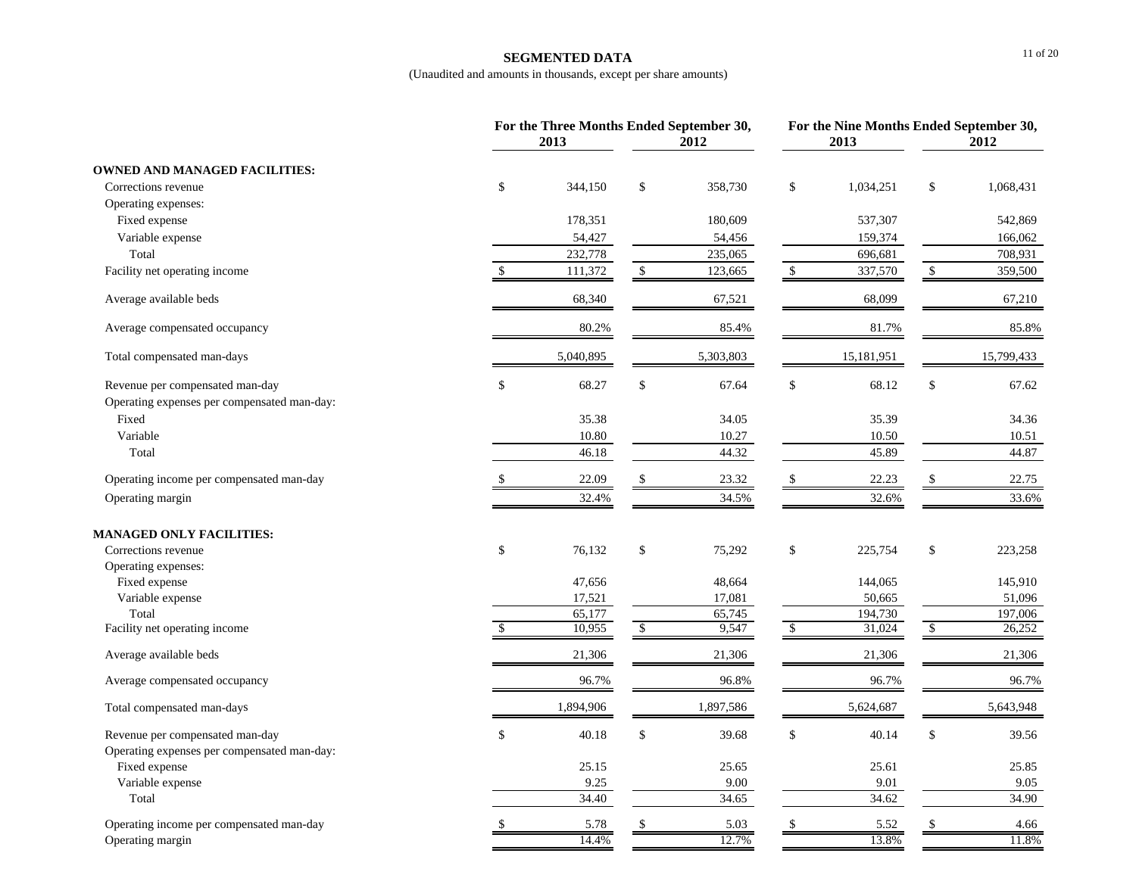#### **SEGMENTED DATA**

|                                             | 2013         |           |             | For the Three Months Ended September 30,<br>2012 |              | 2013       | For the Nine Months Ended September 30,<br>2012 |            |
|---------------------------------------------|--------------|-----------|-------------|--------------------------------------------------|--------------|------------|-------------------------------------------------|------------|
| <b>OWNED AND MANAGED FACILITIES:</b>        |              |           |             |                                                  |              |            |                                                 |            |
| Corrections revenue                         | \$           | 344,150   | \$          | 358,730                                          | $\$$         | 1,034,251  | $\$$                                            | 1,068,431  |
| Operating expenses:                         |              |           |             |                                                  |              |            |                                                 |            |
| Fixed expense                               |              | 178,351   |             | 180,609                                          |              | 537,307    |                                                 | 542,869    |
| Variable expense                            |              | 54,427    |             | 54,456                                           |              | 159,374    |                                                 | 166,062    |
| Total                                       |              | 232,778   |             | 235,065                                          |              | 696,681    |                                                 | 708,931    |
| Facility net operating income               | $\mathbb{S}$ | 111,372   | $\mathbb S$ | 123,665                                          | $\mathbb{S}$ | 337,570    | $\mathbb{S}$                                    | 359,500    |
| Average available beds                      |              | 68,340    |             | 67,521                                           |              | 68,099     |                                                 | 67,210     |
| Average compensated occupancy               |              | 80.2%     |             | 85.4%                                            |              | 81.7%      |                                                 | 85.8%      |
| Total compensated man-days                  |              | 5,040,895 |             | 5,303,803                                        |              | 15,181,951 |                                                 | 15,799,433 |
| Revenue per compensated man-day             | \$           | 68.27     | \$          | 67.64                                            | \$           | 68.12      | \$                                              | 67.62      |
| Operating expenses per compensated man-day: |              |           |             |                                                  |              |            |                                                 |            |
| Fixed                                       |              | 35.38     |             | 34.05                                            |              | 35.39      |                                                 | 34.36      |
| Variable                                    |              | 10.80     |             | 10.27                                            |              | 10.50      |                                                 | 10.51      |
| Total                                       |              | 46.18     |             | 44.32                                            |              | 45.89      |                                                 | 44.87      |
| Operating income per compensated man-day    |              | 22.09     |             | 23.32                                            | \$           | 22.23      |                                                 | 22.75      |
| Operating margin                            |              | 32.4%     |             | 34.5%                                            |              | 32.6%      |                                                 | 33.6%      |
| <b>MANAGED ONLY FACILITIES:</b>             |              |           |             |                                                  |              |            |                                                 |            |
| Corrections revenue                         | \$           | 76,132    | \$          | 75,292                                           | \$           | 225,754    | \$                                              | 223,258    |
| Operating expenses:                         |              |           |             |                                                  |              |            |                                                 |            |
| Fixed expense                               |              | 47,656    |             | 48,664                                           |              | 144,065    |                                                 | 145,910    |
| Variable expense                            |              | 17,521    |             | 17,081                                           |              | 50,665     |                                                 | 51,096     |
| Total                                       |              | 65,177    |             | 65,745                                           |              | 194,730    |                                                 | 197,006    |
| Facility net operating income               |              | 10,955    | \$          | 9,547                                            | \$           | 31,024     | \$                                              | 26,252     |
| Average available beds                      |              | 21,306    |             | 21,306                                           |              | 21,306     |                                                 | 21,306     |
| Average compensated occupancy               |              | 96.7%     |             | 96.8%                                            |              | 96.7%      |                                                 | 96.7%      |
| Total compensated man-days                  |              | 1,894,906 |             | 1,897,586                                        |              | 5,624,687  |                                                 | 5,643,948  |
| Revenue per compensated man-day             | \$           | 40.18     | \$          | 39.68                                            | $\mathbb{S}$ | 40.14      | \$                                              | 39.56      |
| Operating expenses per compensated man-day: |              |           |             |                                                  |              |            |                                                 |            |
| Fixed expense                               |              | 25.15     |             | 25.65                                            |              | 25.61      |                                                 | 25.85      |
| Variable expense                            |              | 9.25      |             | 9.00                                             |              | 9.01       |                                                 | 9.05       |
| Total                                       |              | 34.40     |             | 34.65                                            |              | 34.62      |                                                 | 34.90      |
| Operating income per compensated man-day    | \$           | 5.78      | \$          | 5.03                                             | $\$$         | 5.52       | \$                                              | 4.66       |
| Operating margin                            |              | 14.4%     |             | 12.7%                                            |              | 13.8%      |                                                 | 11.8%      |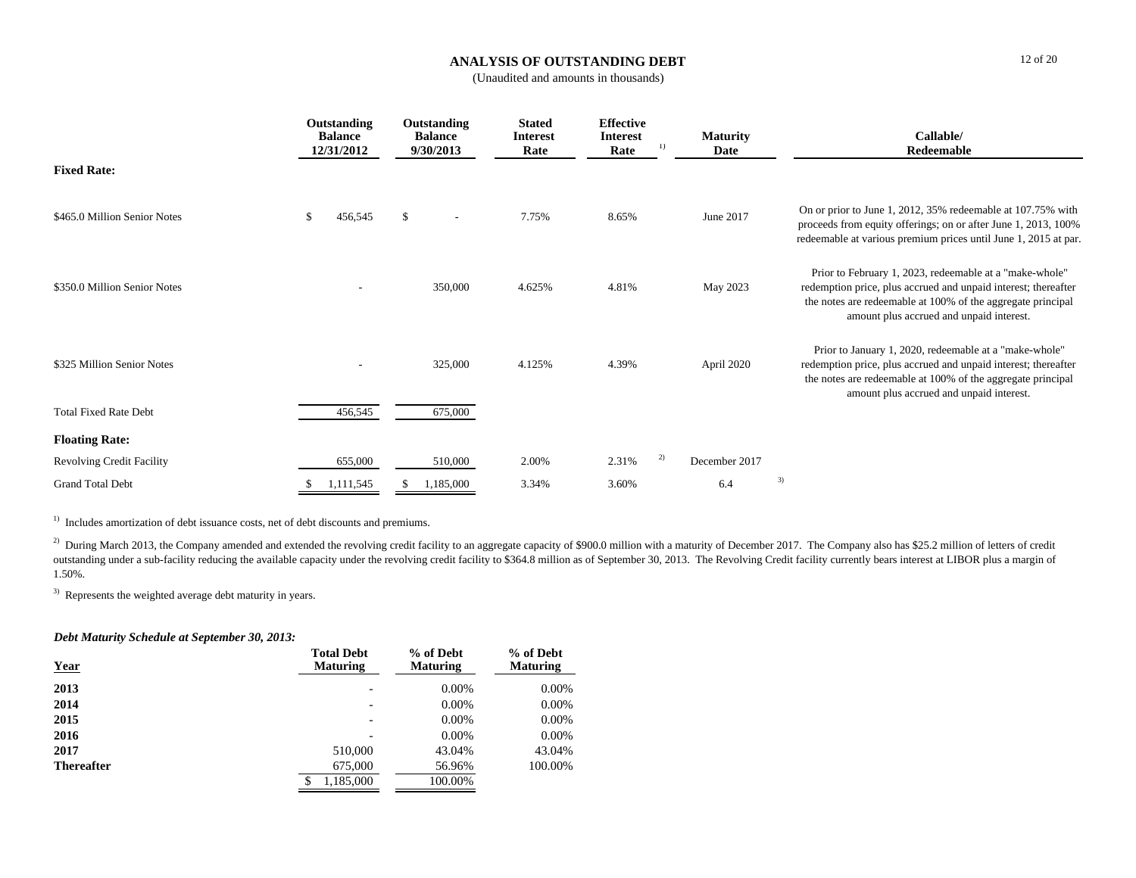# **ANALYSIS OF OUTSTANDING DEBT**

(Unaudited and amounts in thousands)

|                                  | Outstanding<br><b>Balance</b><br>12/31/2012 | Outstanding<br><b>Balance</b><br>9/30/2013 | <b>Stated</b><br><b>Interest</b><br>Rate | <b>Effective</b><br><b>Interest</b><br>Rate | <b>Maturity</b><br>$_{1}$<br>Date | Callable/<br>Redeemable                                                                                                                                                                                                              |
|----------------------------------|---------------------------------------------|--------------------------------------------|------------------------------------------|---------------------------------------------|-----------------------------------|--------------------------------------------------------------------------------------------------------------------------------------------------------------------------------------------------------------------------------------|
| <b>Fixed Rate:</b>               |                                             |                                            |                                          |                                             |                                   |                                                                                                                                                                                                                                      |
| \$465.0 Million Senior Notes     | \$<br>456,545                               | $\mathbb{S}$<br>$\overline{\phantom{a}}$   | 7.75%                                    | 8.65%                                       | June 2017                         | On or prior to June 1, 2012, 35% redeemable at 107.75% with<br>proceeds from equity offerings; on or after June 1, 2013, 100%<br>redeemable at various premium prices until June 1, 2015 at par.                                     |
| \$350.0 Million Senior Notes     |                                             | 350,000                                    | 4.625%                                   | 4.81%                                       | May 2023                          | Prior to February 1, 2023, redeemable at a "make-whole"<br>redemption price, plus accrued and unpaid interest; thereafter<br>the notes are redeemable at 100% of the aggregate principal<br>amount plus accrued and unpaid interest. |
| \$325 Million Senior Notes       |                                             | 325,000                                    | 4.125%                                   | 4.39%                                       | April 2020                        | Prior to January 1, 2020, redeemable at a "make-whole"<br>redemption price, plus accrued and unpaid interest; thereafter<br>the notes are redeemable at 100% of the aggregate principal<br>amount plus accrued and unpaid interest.  |
| <b>Total Fixed Rate Debt</b>     | 456,545                                     | 675,000                                    |                                          |                                             |                                   |                                                                                                                                                                                                                                      |
| <b>Floating Rate:</b>            |                                             |                                            |                                          |                                             |                                   |                                                                                                                                                                                                                                      |
| <b>Revolving Credit Facility</b> | 655,000                                     | 510,000                                    | 2.00%                                    | 2.31%                                       | 2)<br>December 2017               |                                                                                                                                                                                                                                      |
| <b>Grand Total Debt</b>          | 1,111,545                                   | 1,185,000                                  | 3.34%                                    | 3.60%                                       | 6.4                               | 3)                                                                                                                                                                                                                                   |

<sup>1)</sup> Includes amortization of debt issuance costs, net of debt discounts and premiums.

<sup>2)</sup> During March 2013, the Company amended and extended the revolving credit facility to an aggregate capacity of \$900.0 million with a maturity of December 2017. The Company also has \$25.2 million of letters of credit outstanding under a sub-facility reducing the available capacity under the revolving credit facility to \$364.8 million as of September 30, 2013. The Revolving Credit facility currently bears interest at LIBOR plus a margin 1.50%.

3) Represents the weighted average debt maturity in years.

## *Debt Maturity Schedule at September 30, 2013:*

| <b>Year</b>       | <b>Total Debt</b><br><b>Maturing</b> | % of Debt<br><b>Maturing</b> | % of Debt<br><b>Maturing</b> |
|-------------------|--------------------------------------|------------------------------|------------------------------|
| 2013              | $\overline{\phantom{0}}$             | $0.00\%$                     | $0.00\%$                     |
| 2014              | $\overline{\phantom{0}}$             | $0.00\%$                     | $0.00\%$                     |
| 2015              | $\overline{\phantom{0}}$             | $0.00\%$                     | $0.00\%$                     |
| 2016              |                                      | $0.00\%$                     | $0.00\%$                     |
| 2017              | 510,000                              | 43.04%                       | 43.04%                       |
| <b>Thereafter</b> | 675,000                              | 56.96%                       | 100.00%                      |
|                   | 1,185,000<br>\$                      | 100.00%                      |                              |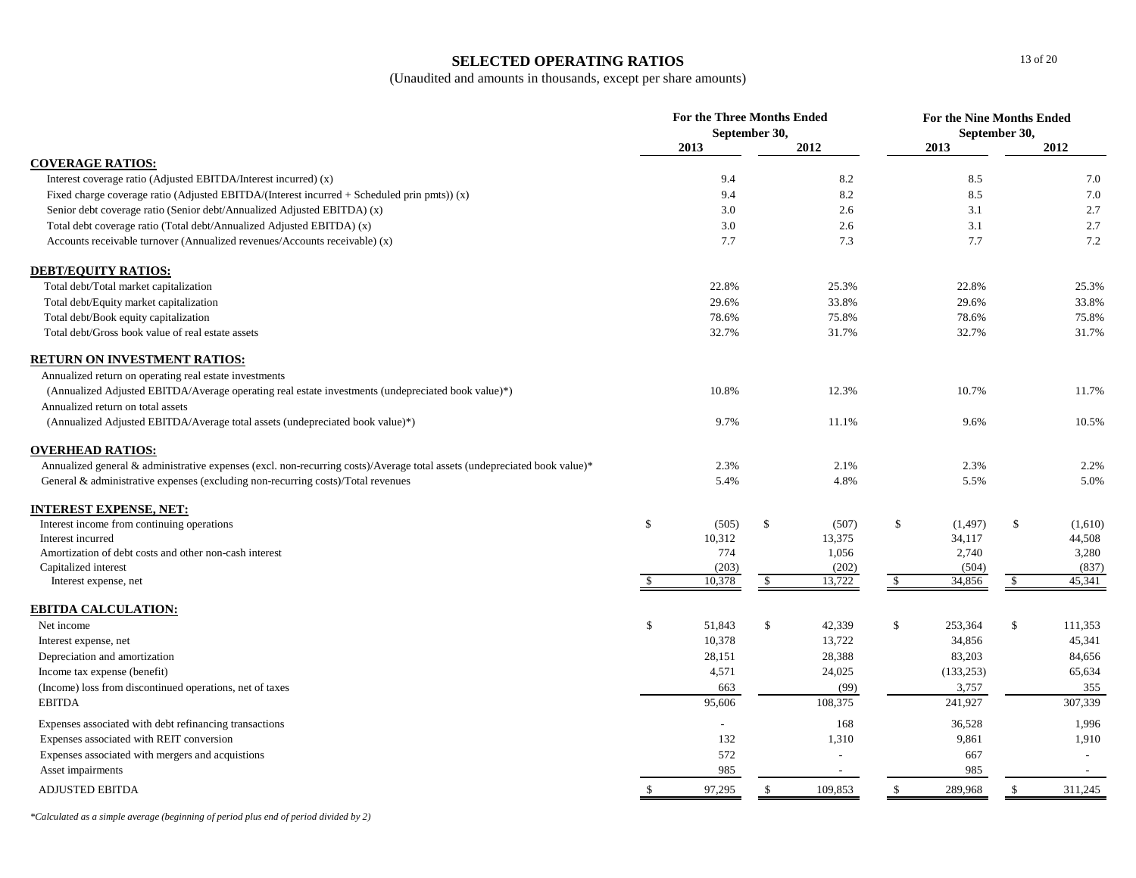### **SELECTED OPERATING RATIOS**

(Unaudited and amounts in thousands, except per share amounts)

|                                                                                                                           |               | <b>For the Three Months Ended</b><br>September 30, |    |                          | For the Nine Months Ended | September 30, |    |         |
|---------------------------------------------------------------------------------------------------------------------------|---------------|----------------------------------------------------|----|--------------------------|---------------------------|---------------|----|---------|
|                                                                                                                           |               | 2013                                               |    | 2012                     |                           | 2013          |    | 2012    |
| <b>COVERAGE RATIOS:</b>                                                                                                   |               |                                                    |    |                          |                           |               |    |         |
| Interest coverage ratio (Adjusted EBITDA/Interest incurred) (x)                                                           |               | 9.4                                                |    | 8.2                      |                           | 8.5           |    | 7.0     |
| Fixed charge coverage ratio (Adjusted EBITDA/(Interest incurred $+$ Scheduled prin pmts)) (x)                             |               | 9.4                                                |    | 8.2                      |                           | 8.5           |    | 7.0     |
| Senior debt coverage ratio (Senior debt/Annualized Adjusted EBITDA) (x)                                                   |               | 3.0                                                |    | 2.6                      |                           | 3.1           |    | 2.7     |
| Total debt coverage ratio (Total debt/Annualized Adjusted EBITDA) (x)                                                     |               | 3.0                                                |    | 2.6                      |                           | 3.1           |    | 2.7     |
| Accounts receivable turnover (Annualized revenues/Accounts receivable) (x)                                                |               | 7.7                                                |    | 7.3                      |                           | 7.7           |    | 7.2     |
| <b>DEBT/EQUITY RATIOS:</b>                                                                                                |               |                                                    |    |                          |                           |               |    |         |
| Total debt/Total market capitalization                                                                                    |               | 22.8%                                              |    | 25.3%                    |                           | 22.8%         |    | 25.3%   |
| Total debt/Equity market capitalization                                                                                   |               | 29.6%                                              |    | 33.8%                    |                           | 29.6%         |    | 33.8%   |
| Total debt/Book equity capitalization                                                                                     |               | 78.6%                                              |    | 75.8%                    |                           | 78.6%         |    | 75.8%   |
| Total debt/Gross book value of real estate assets                                                                         |               | 32.7%                                              |    | 31.7%                    |                           | 32.7%         |    | 31.7%   |
| <b>RETURN ON INVESTMENT RATIOS:</b>                                                                                       |               |                                                    |    |                          |                           |               |    |         |
| Annualized return on operating real estate investments                                                                    |               |                                                    |    |                          |                           |               |    |         |
| (Annualized Adjusted EBITDA/Average operating real estate investments (undepreciated book value)*)                        |               | 10.8%                                              |    | 12.3%                    |                           | 10.7%         |    | 11.7%   |
| Annualized return on total assets                                                                                         |               |                                                    |    |                          |                           |               |    |         |
| (Annualized Adjusted EBITDA/Average total assets (undepreciated book value)*)                                             |               | 9.7%                                               |    | 11.1%                    |                           | 9.6%          |    | 10.5%   |
| <b>OVERHEAD RATIOS:</b>                                                                                                   |               |                                                    |    |                          |                           |               |    |         |
| Annualized general & administrative expenses (excl. non-recurring costs)/Average total assets (undepreciated book value)* |               | 2.3%                                               |    | 2.1%                     |                           | 2.3%          |    | 2.2%    |
| General & administrative expenses (excluding non-recurring costs)/Total revenues                                          |               | 5.4%                                               |    | 4.8%                     |                           | 5.5%          |    | 5.0%    |
| <b>INTEREST EXPENSE, NET:</b>                                                                                             |               |                                                    |    |                          |                           |               |    |         |
| Interest income from continuing operations                                                                                | \$            | (505)                                              | \$ | (507)                    | $\mathbb{S}$              | (1, 497)      | \$ | (1,610) |
| Interest incurred                                                                                                         |               | 10,312                                             |    | 13,375                   |                           | 34,117        |    | 44,508  |
| Amortization of debt costs and other non-cash interest                                                                    |               | 774                                                |    | 1,056                    |                           | 2,740         |    | 3,280   |
| Capitalized interest                                                                                                      |               | (203)                                              |    | (202)                    |                           | (504)         |    | (837)   |
| Interest expense, net                                                                                                     | <sup>S</sup>  | 10,378                                             | \$ | 13,722                   | \$                        | 34,856        | S. | 45,341  |
| <b>EBITDA CALCULATION:</b>                                                                                                |               |                                                    |    |                          |                           |               |    |         |
| Net income                                                                                                                | \$            | 51,843                                             | \$ | 42,339                   | \$                        | 253,364       | \$ | 111,353 |
| Interest expense, net                                                                                                     |               | 10,378                                             |    | 13,722                   |                           | 34,856        |    | 45,341  |
| Depreciation and amortization                                                                                             |               | 28,151                                             |    | 28,388                   |                           | 83,203        |    | 84,656  |
| Income tax expense (benefit)                                                                                              |               | 4,571                                              |    | 24,025                   |                           | (133, 253)    |    | 65,634  |
| (Income) loss from discontinued operations, net of taxes                                                                  |               | 663                                                |    | (99)                     |                           | 3,757         |    | 355     |
| <b>EBITDA</b>                                                                                                             |               | 95,606                                             |    | 108,375                  |                           | 241,927       |    | 307,339 |
| Expenses associated with debt refinancing transactions                                                                    |               | $\sim$                                             |    | 168                      |                           | 36,528        |    | 1,996   |
| Expenses associated with REIT conversion                                                                                  |               | 132                                                |    | 1,310                    |                           | 9,861         |    | 1,910   |
| Expenses associated with mergers and acquistions                                                                          |               | 572                                                |    | $\overline{\phantom{a}}$ |                           | 667           |    | $\sim$  |
| Asset impairments                                                                                                         |               | 985                                                |    | $\sim$                   |                           | 985           |    | $\sim$  |
| <b>ADJUSTED EBITDA</b>                                                                                                    | <sup>\$</sup> | 97,295                                             | \$ | 109,853                  | \$                        | 289,968       | \$ | 311,245 |

*\*Calculated as a simple average (beginning of period plus end of period divided by 2)*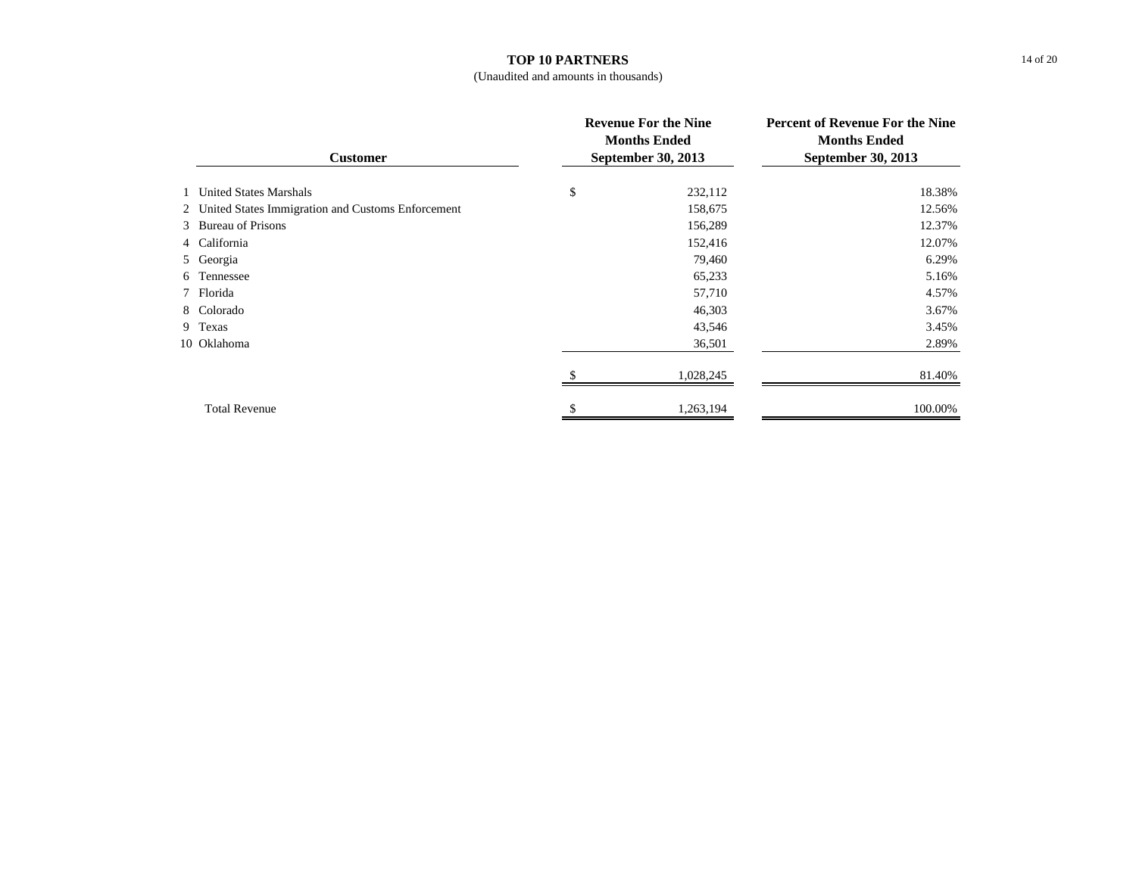#### **TOP 10 PARTNERS**

## (Unaudited and amounts in thousands)

| <b>Customer</b> |                                                     | <b>Revenue For the Nine</b><br><b>Months Ended</b><br>September 30, 2013 | <b>Percent of Revenue For the Nine</b><br><b>Months Ended</b><br>September 30, 2013 |  |
|-----------------|-----------------------------------------------------|--------------------------------------------------------------------------|-------------------------------------------------------------------------------------|--|
|                 | 1 United States Marshals                            | \$<br>232,112                                                            | 18.38%                                                                              |  |
|                 | 2 United States Immigration and Customs Enforcement | 158,675                                                                  | 12.56%                                                                              |  |
|                 | 3 Bureau of Prisons                                 | 156,289                                                                  | 12.37%                                                                              |  |
|                 | 4 California                                        | 152,416                                                                  | 12.07%                                                                              |  |
|                 | 5 Georgia                                           | 79,460                                                                   | 6.29%                                                                               |  |
|                 | 6 Tennessee                                         | 65,233                                                                   | 5.16%                                                                               |  |
|                 | 7 Florida                                           | 57,710                                                                   | 4.57%                                                                               |  |
|                 | 8 Colorado                                          | 46,303                                                                   | 3.67%                                                                               |  |
|                 | 9 Texas                                             | 43,546                                                                   | 3.45%                                                                               |  |
|                 | 10 Oklahoma                                         | 36,501                                                                   | 2.89%                                                                               |  |
|                 |                                                     | 1,028,245                                                                | 81.40%                                                                              |  |
|                 | <b>Total Revenue</b>                                | 1,263,194                                                                | 100.00%                                                                             |  |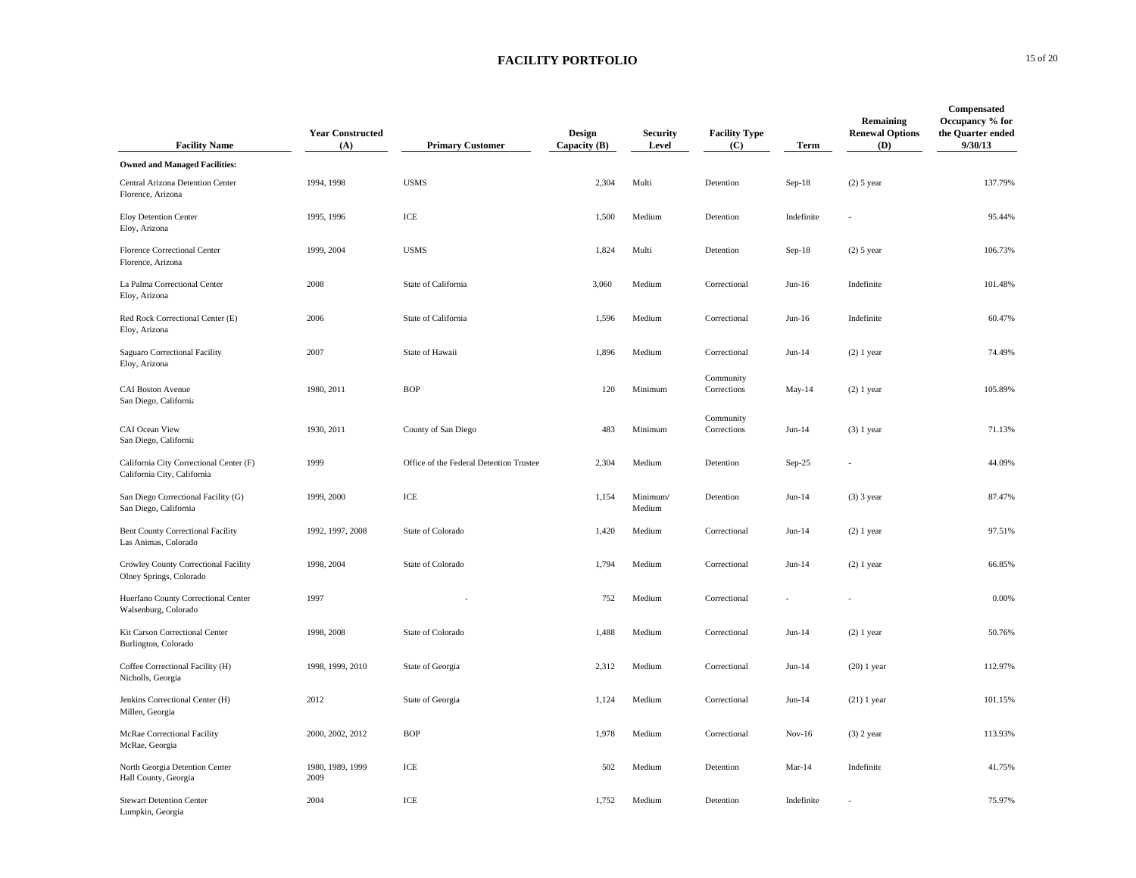| <b>Facility Name</b>                                                   | <b>Year Constructed</b><br>(A) | <b>Primary Customer</b>                 | Design<br>Capacity (B) | <b>Security</b><br>Level | <b>Facility Type</b><br>(C) | Term       | Remaining<br><b>Renewal Options</b><br>(D) | Compensated<br>Occupancy % for<br>the Quarter ended<br>9/30/13 |
|------------------------------------------------------------------------|--------------------------------|-----------------------------------------|------------------------|--------------------------|-----------------------------|------------|--------------------------------------------|----------------------------------------------------------------|
| <b>Owned and Managed Facilities:</b>                                   |                                |                                         |                        |                          |                             |            |                                            |                                                                |
| Central Arizona Detention Center<br>Florence, Arizona                  | 1994, 1998                     | <b>USMS</b>                             | 2,304                  | Multi                    | Detention                   | Sep-18     | $(2)$ 5 year                               | 137.79%                                                        |
| Eloy Detention Center<br>Eloy, Arizona                                 | 1995, 1996                     | ICE                                     | 1,500                  | Medium                   | Detention                   | Indefinite |                                            | 95.44%                                                         |
| Florence Correctional Center<br>Florence, Arizona                      | 1999, 2004                     | <b>USMS</b>                             | 1,824                  | Multi                    | Detention                   | Sep-18     | $(2)$ 5 year                               | 106.73%                                                        |
| La Palma Correctional Center<br>Eloy, Arizona                          | 2008                           | State of California                     | 3,060                  | Medium                   | Correctional                | $Jun-16$   | Indefinite                                 | 101.48%                                                        |
| Red Rock Correctional Center (E)<br>Eloy, Arizona                      | 2006                           | State of California                     | 1,596                  | Medium                   | Correctional                | $Jun-16$   | Indefinite                                 | 60.47%                                                         |
| Saguaro Correctional Facility<br>Eloy, Arizona                         | 2007                           | State of Hawaii                         | 1,896                  | Medium                   | Correctional                | $Jun-14$   | $(2)$ 1 year                               | 74.49%                                                         |
| <b>CAI Boston Avenue</b><br>San Diego, California                      | 1980, 2011                     | <b>BOP</b>                              | 120                    | Minimum                  | Community<br>Corrections    | $May-14$   | $(2)$ 1 year                               | 105.89%                                                        |
| CAI Ocean View<br>San Diego, California                                | 1930, 2011                     | County of San Diego                     | 483                    | Minimum                  | Community<br>Corrections    | $Jun-14$   | $(3)$ 1 year                               | 71.13%                                                         |
| California City Correctional Center (F)<br>California City, California | 1999                           | Office of the Federal Detention Trustee | 2,304                  | Medium                   | Detention                   | Sep-25     |                                            | 44.09%                                                         |
| San Diego Correctional Facility (G)<br>San Diego, California           | 1999, 2000                     | $\rm ICE$                               | 1,154                  | Minimum/<br>Medium       | Detention                   | $Jun-14$   | $(3)$ 3 year                               | 87.47%                                                         |
| <b>Bent County Correctional Facility</b><br>Las Animas, Colorado       | 1992, 1997, 2008               | State of Colorado                       | 1,420                  | Medium                   | Correctional                | $Jun-14$   | $(2)$ 1 year                               | 97.51%                                                         |
| Crowley County Correctional Facility<br>Olney Springs, Colorado        | 1998, 2004                     | State of Colorado                       | 1,794                  | Medium                   | Correctional                | $Jun-14$   | $(2)$ 1 year                               | 66.85%                                                         |
| Huerfano County Correctional Center<br>Walsenburg, Colorado            | 1997                           |                                         | 752                    | Medium                   | Correctional                |            |                                            | 0.00%                                                          |
| Kit Carson Correctional Center<br>Burlington, Colorado                 | 1998, 2008                     | State of Colorado                       | 1,488                  | Medium                   | Correctional                | $Jun-14$   | $(2)$ 1 year                               | 50.76%                                                         |
| Coffee Correctional Facility (H)<br>Nicholls, Georgia                  | 1998, 1999, 2010               | State of Georgia                        | 2,312                  | Medium                   | Correctional                | $Jun-14$   | $(20)$ 1 year                              | 112.97%                                                        |
| Jenkins Correctional Center (H)<br>Millen, Georgia                     | 2012                           | State of Georgia                        | 1,124                  | Medium                   | Correctional                | $Jun-14$   | $(21)$ 1 year                              | 101.15%                                                        |
| McRae Correctional Facility<br>McRae, Georgia                          | 2000, 2002, 2012               | <b>BOP</b>                              | 1,978                  | Medium                   | Correctional                | $Nov-16$   | $(3)$ 2 year                               | 113.93%                                                        |
| North Georgia Detention Center<br>Hall County, Georgia                 | 1980, 1989, 1999<br>2009       | ICE                                     | 502                    | Medium                   | Detention                   | Mar-14     | Indefinite                                 | 41.75%                                                         |
| <b>Stewart Detention Center</b><br>Lumpkin, Georgia                    | 2004                           | ICE                                     | 1,752                  | Medium                   | Detention                   | Indefinite |                                            | 75.97%                                                         |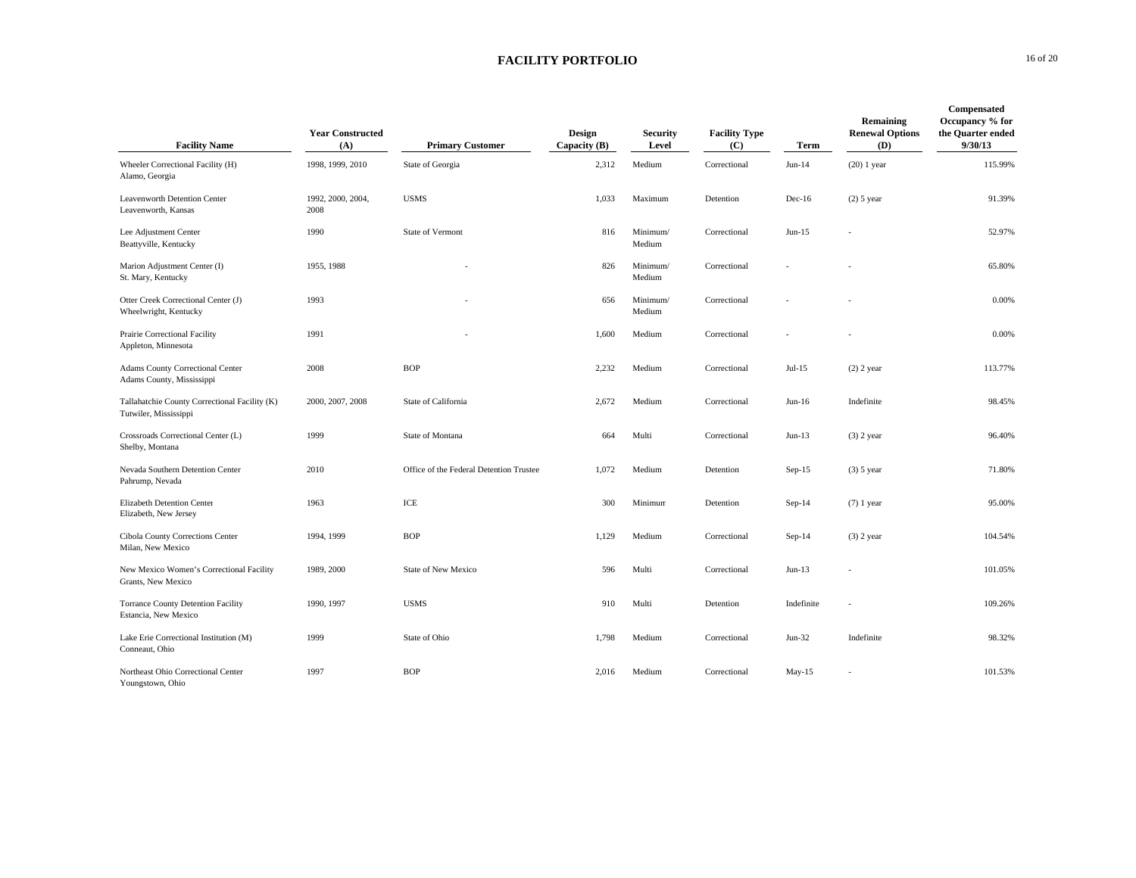| <b>Facility Name</b>                                                   | <b>Year Constructed</b><br>(A) | <b>Primary Customer</b>                 | Design<br>Capacity (B) | <b>Security</b><br>Level | <b>Facility Type</b><br>(C) | Term       | Remaining<br><b>Renewal Options</b><br>(D) | Compensated<br>Occupancy % for<br>the Quarter ended<br>9/30/13 |
|------------------------------------------------------------------------|--------------------------------|-----------------------------------------|------------------------|--------------------------|-----------------------------|------------|--------------------------------------------|----------------------------------------------------------------|
| Wheeler Correctional Facility (H)<br>Alamo, Georgia                    | 1998, 1999, 2010               | State of Georgia                        | 2,312                  | Medium                   | Correctional                | $Jun-14$   | $(20)$ 1 year                              | 115.99%                                                        |
| Leavenworth Detention Center<br>Leavenworth, Kansas                    | 1992, 2000, 2004,<br>2008      | <b>USMS</b>                             | 1,033                  | Maximum                  | Detention                   | $Dec-16$   | $(2)$ 5 year                               | 91.39%                                                         |
| Lee Adjustment Center<br>Beattyville, Kentucky                         | 1990                           | State of Vermont                        | 816                    | Minimum/<br>Medium       | Correctional                | $Jun-15$   |                                            | 52.97%                                                         |
| Marion Adjustment Center (I)<br>St. Mary, Kentucky                     | 1955, 1988                     |                                         | 826                    | Minimum/<br>Medium       | Correctional                |            |                                            | 65.80%                                                         |
| Otter Creek Correctional Center (J)<br>Wheelwright, Kentucky           | 1993                           |                                         | 656                    | Minimum/<br>Medium       | Correctional                |            |                                            | 0.00%                                                          |
| Prairie Correctional Facility<br>Appleton, Minnesota                   | 1991                           |                                         | 1,600                  | Medium                   | Correctional                |            |                                            | 0.00%                                                          |
| <b>Adams County Correctional Center</b><br>Adams County, Mississippi   | 2008                           | <b>BOP</b>                              | 2,232                  | Medium                   | Correctional                | Jul-15     | $(2)$ 2 year                               | 113.77%                                                        |
| Tallahatchie County Correctional Facility (K)<br>Tutwiler, Mississippi | 2000, 2007, 2008               | State of California                     | 2,672                  | Medium                   | Correctional                | $Jun-16$   | Indefinite                                 | 98.45%                                                         |
| Crossroads Correctional Center (L)<br>Shelby, Montana                  | 1999                           | State of Montana                        | 664                    | Multi                    | Correctional                | $Jun-13$   | $(3)$ 2 year                               | 96.40%                                                         |
| Nevada Southern Detention Center<br>Pahrump, Nevada                    | 2010                           | Office of the Federal Detention Trustee | 1,072                  | Medium                   | Detention                   | $Sep-15$   | $(3)$ 5 year                               | 71.80%                                                         |
| Elizabeth Detention Center<br>Elizabeth, New Jersey                    | 1963                           | ICE                                     | 300                    | Minimum                  | Detention                   | $Sep-14$   | $(7)$ 1 year                               | 95.00%                                                         |
| Cibola County Corrections Center<br>Milan, New Mexico                  | 1994, 1999                     | <b>BOP</b>                              | 1,129                  | Medium                   | Correctional                | $Sep-14$   | $(3)$ 2 year                               | 104.54%                                                        |
| New Mexico Women's Correctional Facility<br>Grants, New Mexico         | 1989, 2000                     | State of New Mexico                     | 596                    | Multi                    | Correctional                | $Jun-13$   |                                            | 101.05%                                                        |
| <b>Torrance County Detention Facility</b><br>Estancia, New Mexico      | 1990, 1997                     | <b>USMS</b>                             | 910                    | Multi                    | Detention                   | Indefinite |                                            | 109.26%                                                        |
| Lake Erie Correctional Institution (M)<br>Conneaut, Ohio               | 1999                           | State of Ohio                           | 1,798                  | Medium                   | Correctional                | $Jun-32$   | Indefinite                                 | 98.32%                                                         |
| Northeast Ohio Correctional Center<br>Youngstown, Ohio                 | 1997                           | <b>BOP</b>                              | 2,016                  | Medium                   | Correctional                | $May-15$   |                                            | 101.53%                                                        |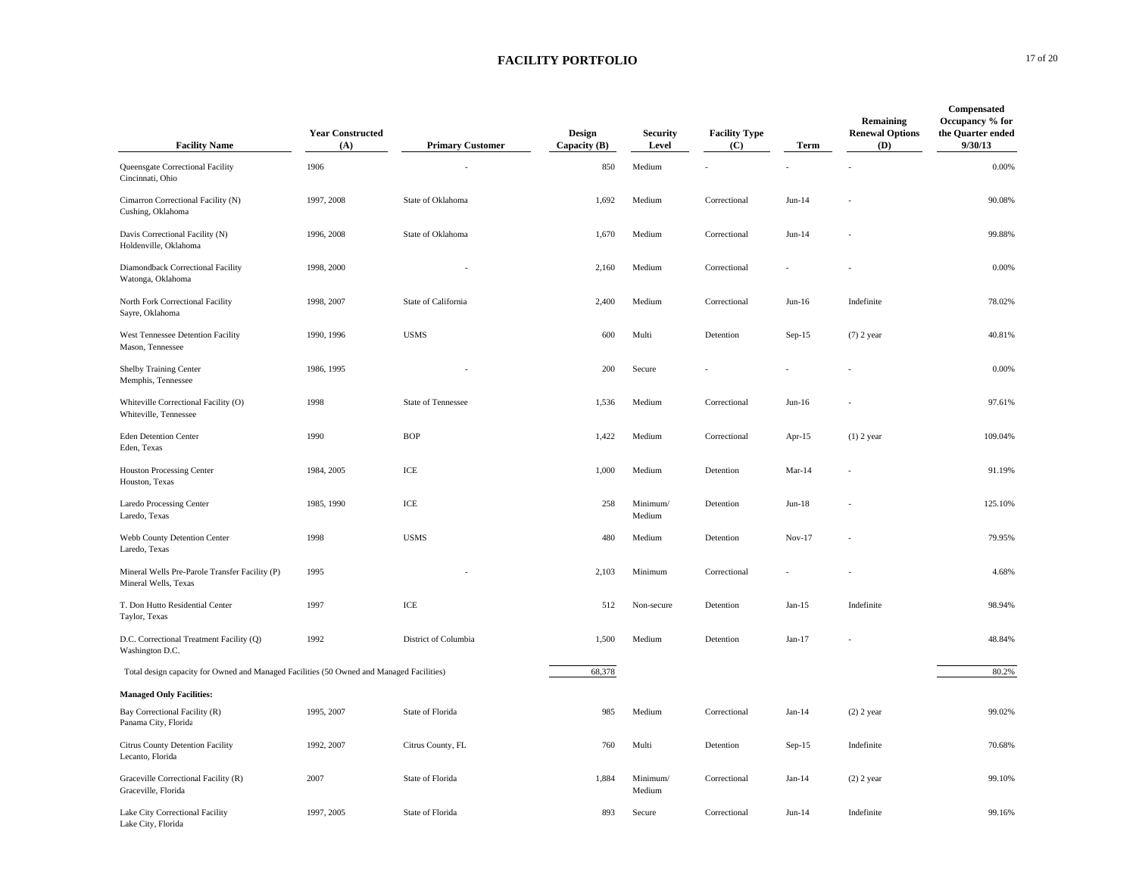| <b>Facility Name</b>                                                                     | <b>Year Constructed</b><br>(A) | <b>Primary Customer</b>   | Design<br>Capacity (B) | <b>Security</b><br>Level | <b>Facility Type</b><br>(C) | Term      | Remaining<br><b>Renewal Options</b><br>(D) | Compensated<br>Occupancy % for<br>the Quarter ended<br>9/30/13 |
|------------------------------------------------------------------------------------------|--------------------------------|---------------------------|------------------------|--------------------------|-----------------------------|-----------|--------------------------------------------|----------------------------------------------------------------|
| Queensgate Correctional Facility<br>Cincinnati, Ohio                                     | 1906                           |                           | 850                    | Medium                   |                             |           |                                            | 0.00%                                                          |
| Cimarron Correctional Facility (N)<br>Cushing, Oklahoma                                  | 1997, 2008                     | State of Oklahoma         | 1,692                  | Medium                   | Correctional                | $Jun-14$  |                                            | 90.08%                                                         |
| Davis Correctional Facility (N)<br>Holdenville, Oklahoma                                 | 1996, 2008                     | State of Oklahoma         | 1,670                  | Medium                   | Correctional                | $Jun-14$  |                                            | 99.88%                                                         |
| Diamondback Correctional Facility<br>Watonga, Oklahoma                                   | 1998, 2000                     |                           | 2,160                  | Medium                   | Correctional                |           |                                            | 0.00%                                                          |
| North Fork Correctional Facility<br>Sayre, Oklahoma                                      | 1998, 2007                     | State of California       | 2,400                  | Medium                   | Correctional                | $Jun-16$  | Indefinite                                 | 78.02%                                                         |
| West Tennessee Detention Facility<br>Mason, Tennessee                                    | 1990, 1996                     | <b>USMS</b>               | 600                    | Multi                    | Detention                   | $Sep-15$  | $(7)$ 2 year                               | 40.81%                                                         |
| Shelby Training Center<br>Memphis, Tennessee                                             | 1986, 1995                     |                           | 200                    | Secure                   |                             |           |                                            | 0.00%                                                          |
| Whiteville Correctional Facility (O)<br>Whiteville, Tennessee                            | 1998                           | <b>State of Tennessee</b> | 1,536                  | Medium                   | Correctional                | $Jun-16$  |                                            | 97.61%                                                         |
| <b>Eden Detention Center</b><br>Eden, Texas                                              | 1990                           | <b>BOP</b>                | 1,422                  | Medium                   | Correctional                | Apr- $15$ | $(1)$ 2 year                               | 109.04%                                                        |
| <b>Houston Processing Center</b><br>Houston, Texas                                       | 1984, 2005                     | ICE                       | 1,000                  | Medium                   | Detention                   | $Mar-14$  |                                            | 91.19%                                                         |
| Laredo Processing Center<br>Laredo, Texas                                                | 1985, 1990                     | ICE                       | 258                    | Minimum/<br>Medium       | Detention                   | Jun-18    |                                            | 125.10%                                                        |
| Webb County Detention Center<br>Laredo, Texas                                            | 1998                           | <b>USMS</b>               | 480                    | Medium                   | Detention                   | $Nov-17$  |                                            | 79.95%                                                         |
| Mineral Wells Pre-Parole Transfer Facility (P)<br>Mineral Wells, Texas                   | 1995                           |                           | 2,103                  | Minimum                  | Correctional                |           |                                            | 4.68%                                                          |
| T. Don Hutto Residential Center<br>Taylor, Texas                                         | 1997                           | ICE                       | 512                    | Non-secure               | Detention                   | $Jan-15$  | Indefinite                                 | 98.94%                                                         |
| D.C. Correctional Treatment Facility (Q)<br>Washington D.C.                              | 1992                           | District of Columbia      | 1,500                  | Medium                   | Detention                   | $Jan-17$  |                                            | 48.84%                                                         |
| Total design capacity for Owned and Managed Facilities (50 Owned and Managed Facilities) |                                |                           | 68,378                 |                          |                             |           |                                            | 80.2%                                                          |
| <b>Managed Only Facilities:</b>                                                          |                                |                           |                        |                          |                             |           |                                            |                                                                |
| Bay Correctional Facility (R)<br>Panama City, Florida                                    | 1995, 2007                     | State of Florida          | 985                    | Medium                   | Correctional                | $Jan-14$  | $(2)$ 2 year                               | 99.02%                                                         |
| Citrus County Detention Facility<br>Lecanto, Florida                                     | 1992, 2007                     | Citrus County, FL         | 760                    | Multi                    | Detention                   | $Sep-15$  | Indefinite                                 | 70.68%                                                         |
| Graceville Correctional Facility (R)<br>Graceville, Florida                              | 2007                           | State of Florida          | 1,884                  | Minimum/<br>Medium       | Correctional                | $Jan-14$  | $(2)$ 2 year                               | 99.10%                                                         |
| Lake City Correctional Facility<br>Lake City, Florida                                    | 1997, 2005                     | State of Florida          | 893                    | Secure                   | Correctional                | $Jun-14$  | Indefinite                                 | 99.16%                                                         |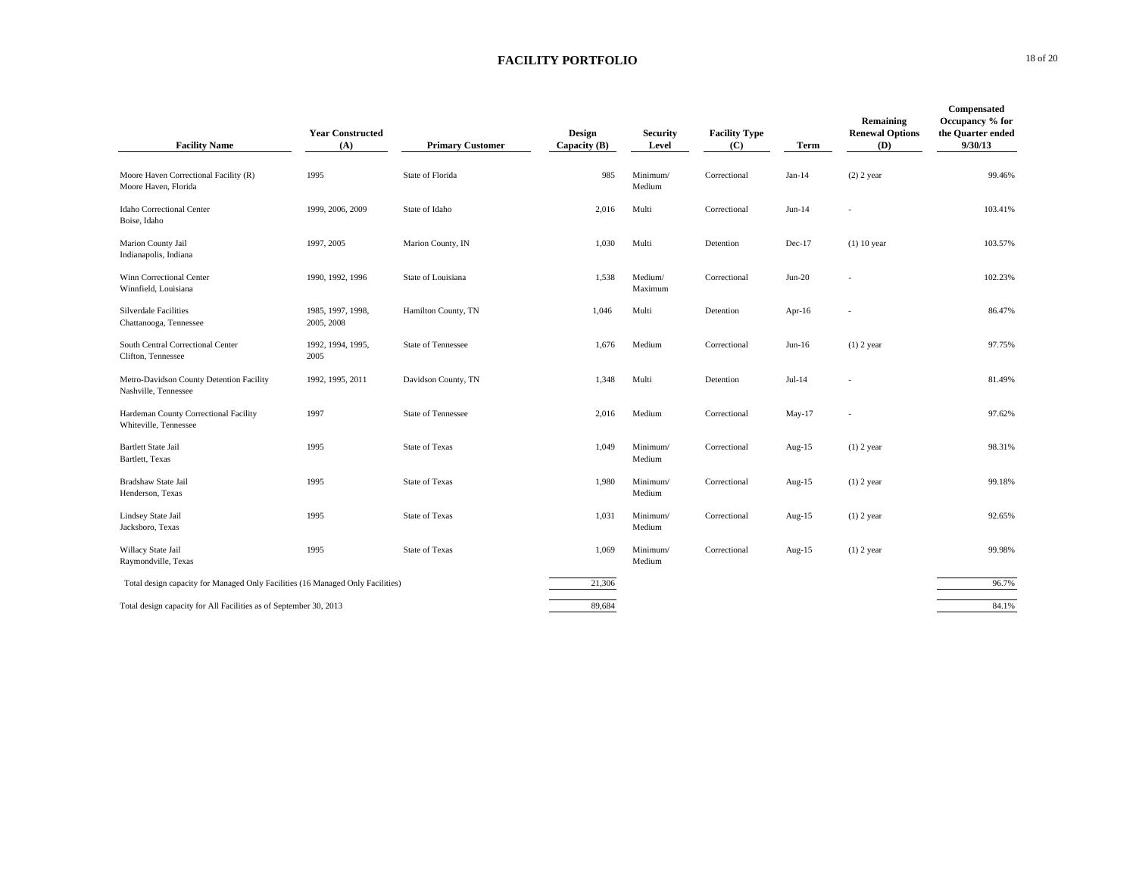|                                                                                | <b>Year Constructed</b>         |                           | Design       | <b>Security</b>    | <b>Facility Type</b> |             | Remaining<br><b>Renewal Options</b> | Compensated<br>Occupancy % for<br>the Quarter ended |
|--------------------------------------------------------------------------------|---------------------------------|---------------------------|--------------|--------------------|----------------------|-------------|-------------------------------------|-----------------------------------------------------|
| <b>Facility Name</b>                                                           | (A)                             | <b>Primary Customer</b>   | Capacity (B) | Level              | (C)                  | <b>Term</b> | (D)                                 | 9/30/13                                             |
| Moore Haven Correctional Facility (R)<br>Moore Haven, Florida                  | 1995                            | State of Florida          | 985          | Minimum/<br>Medium | Correctional         | $Jan-14$    | $(2)$ 2 year                        | 99.46%                                              |
| Idaho Correctional Center<br>Boise, Idaho                                      | 1999, 2006, 2009                | State of Idaho            | 2,016        | Multi              | Correctional         | $Jun-14$    |                                     | 103.41%                                             |
| Marion County Jail<br>Indianapolis, Indiana                                    | 1997, 2005                      | Marion County, IN         | 1,030        | Multi              | Detention            | $Dec-17$    | $(1)$ 10 year                       | 103.57%                                             |
| Winn Correctional Center<br>Winnfield, Louisiana                               | 1990, 1992, 1996                | State of Louisiana        | 1,538        | Medium/<br>Maximum | Correctional         | $Jun-20$    |                                     | 102.23%                                             |
| Silverdale Facilities<br>Chattanooga, Tennessee                                | 1985, 1997, 1998,<br>2005, 2008 | Hamilton County, TN       | 1,046        | Multi              | Detention            | Apr-16      |                                     | 86.47%                                              |
| South Central Correctional Center<br>Clifton, Tennessee                        | 1992, 1994, 1995,<br>2005       | <b>State of Tennessee</b> | 1,676        | Medium             | Correctional         | $Jun-16$    | $(1)$ 2 year                        | 97.75%                                              |
| Metro-Davidson County Detention Facility<br>Nashville, Tennessee               | 1992, 1995, 2011                | Davidson County, TN       | 1,348        | Multi              | Detention            | $Jul-14$    |                                     | 81.49%                                              |
| Hardeman County Correctional Facility<br>Whiteville, Tennessee                 | 1997                            | <b>State of Tennessee</b> | 2,016        | Medium             | Correctional         | $May-17$    |                                     | 97.62%                                              |
| <b>Bartlett State Jail</b><br>Bartlett, Texas                                  | 1995                            | <b>State of Texas</b>     | 1,049        | Minimum/<br>Medium | Correctional         | Aug- $15$   | $(1)$ 2 year                        | 98.31%                                              |
| Bradshaw State Jail<br>Henderson, Texas                                        | 1995                            | <b>State of Texas</b>     | 1,980        | Minimum/<br>Medium | Correctional         | Aug- $15$   | $(1)$ 2 year                        | 99.18%                                              |
| Lindsey State Jail<br>Jacksboro, Texas                                         | 1995                            | <b>State of Texas</b>     | 1,031        | Minimum/<br>Medium | Correctional         | Aug-15      | $(1)$ 2 year                        | 92.65%                                              |
| Willacy State Jail<br>Raymondville, Texas                                      | 1995                            | <b>State of Texas</b>     | 1,069        | Minimum/<br>Medium | Correctional         | Aug- $15$   | $(1)$ 2 year                        | 99.98%                                              |
| Total design capacity for Managed Only Facilities (16 Managed Only Facilities) |                                 |                           | 21,306       |                    |                      |             |                                     | 96.7%                                               |
| Total design capacity for All Facilities as of September 30, 2013              |                                 |                           | 89,684       |                    |                      |             |                                     | 84.1%                                               |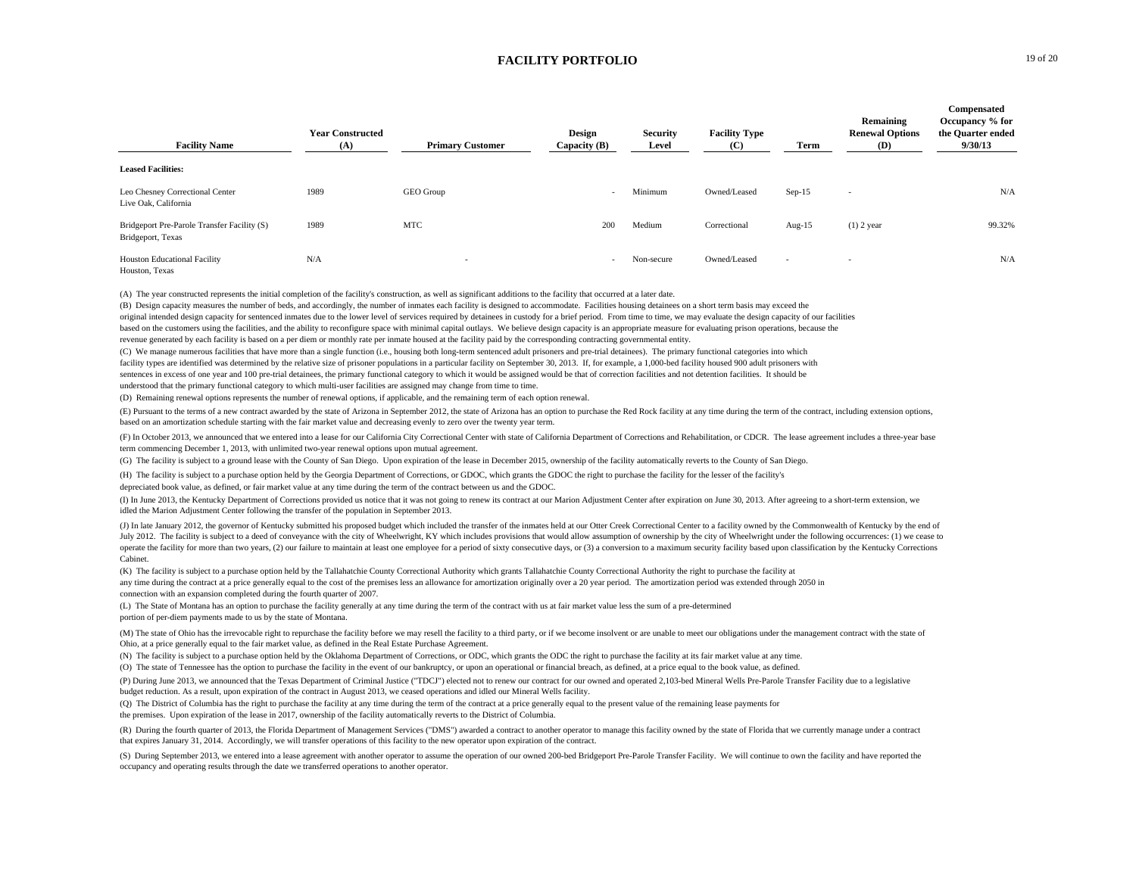| <b>Facility Name</b>                                             | <b>Year Constructed</b><br>(A) | <b>Primary Customer</b>  | Design<br>Capacity (B)   | <b>Security</b><br>Level | <b>Facility Type</b><br>(C) | Term                     | Remaining<br><b>Renewal Options</b><br>(D) | Compensated<br>Occupancy % for<br>the Quarter ended<br>9/30/13 |
|------------------------------------------------------------------|--------------------------------|--------------------------|--------------------------|--------------------------|-----------------------------|--------------------------|--------------------------------------------|----------------------------------------------------------------|
| <b>Leased Facilities:</b>                                        |                                |                          |                          |                          |                             |                          |                                            |                                                                |
| Leo Chesney Correctional Center<br>Live Oak, California          | 1989                           | GEO Group                | $\overline{\phantom{a}}$ | Minimum                  | Owned/Leased                | $Sep-15$                 | $\overline{\phantom{a}}$                   | N/A                                                            |
| Bridgeport Pre-Parole Transfer Facility (S)<br>Bridgeport, Texas | 1989                           | MTC                      | 200                      | Medium                   | Correctional                | Aug- $15$                | $(1)$ 2 year                               | 99.32%                                                         |
| <b>Houston Educational Facility</b><br>Houston, Texas            | N/A                            | $\overline{\phantom{a}}$ | $\sim$                   | Non-secure               | Owned/Leased                | $\overline{\phantom{a}}$ | $\overline{\phantom{a}}$                   | N/A                                                            |

(A) The year constructed represents the initial completion of the facility's construction, as well as significant additions to the facility that occurred at a later date.

(B) Design capacity measures the number of beds, and accordingly, the number of inmates each facility is designed to accommodate. Facilities housing detainees on a short term basis may exceed the original intended design capacity for sentenced inmates due to the lower level of services required by detainees in custody for a brief period. From time to time, we may evaluate the design capacity of our facilities based on the customers using the facilities, and the ability to reconfigure space with minimal capital outlays. We believe design capacity is an appropriate measure for evaluating prison operations, because the revenue generated by each facility is based on a per diem or monthly rate per inmate housed at the facility paid by the corresponding contracting governmental entity.

(C) We manage numerous facilities that have more than a single function (i.e., housing both long-term sentenced adult prisoners and pre-trial detainees). The primary functional categories into which facility types are identified was determined by the relative size of prisoner populations in a particular facility on September 30, 2013. If, for example, a 1,000-bed facility housed 900 adult prisoners with sentences in excess of one year and 100 pre-trial detainees, the primary functional category to which it would be assigned would be that of correction facilities and not detention facilities. It should be understood that the primary functional category to which multi-user facilities are assigned may change from time to time.

(D) Remaining renewal options represents the number of renewal options, if applicable, and the remaining term of each option renewal.

(E) Pursuant to the terms of a new contract awarded by the state of Arizona in September 2012, the state of Arizona has an option to purchase the Red Rock facility at any time during the term of the contract, including ext based on an amortization schedule starting with the fair market value and decreasing evenly to zero over the twenty year term.

(F) In October 2013, we announced that we entered into a lease for our California City Correctional Center with state of California Department of Corrections and Rehabilitation, or CDCR. The lease agreement includes a thre term commencing December 1, 2013, with unlimited two-year renewal options upon mutual agreement.

(G) The facility is subject to a ground lease with the County of San Diego. Upon expiration of the lease in December 2015, ownership of the facility automatically reverts to the County of San Diego.

(H) The facility is subject to a purchase option held by the Georgia Department of Corrections, or GDOC, which grants the GDOC the right to purchase the facility for the lesser of the facility's

depreciated book value, as defined, or fair market value at any time during the term of the contract between us and the GDOC.

(I) In June 2013, the Kentucky Department of Corrections provided us notice that it was not going to renew its contract at our Marion Adjustment Center after expiration on June 30, 2013. After agreeing to a short-term exte idled the Marion Adjustment Center following the transfer of the population in September 2013.

(J) In late January 2012, the governor of Kentucky submitted his proposed budget which included the transfer of the inmates held at our Otter Creek Correctional Center to a facility owned by the Commonwealth of Kentucky by July 2012. The facility is subject to a deed of conveyance with the city of Wheelwright, KY which includes provisions that would allow assumption of ownership by the city of Wheelwright under the following occurrences: (1) operate the facility for more than two years, (2) our failure to maintain at least one employee for a period of sixty consecutive days, or (3) a conversion to a maximum security facility based upon classification by the Ke Cabinet.

(K) The facility is subject to a purchase option held by the Tallahatchie County Correctional Authority which grants Tallahatchie County Correctional Authority the right to purchase the facility at any time during the contract at a price generally equal to the cost of the premises less an allowance for amortization originally over a 20 year period. The amortization period was extended through 2050 in connection with an expansion completed during the fourth quarter of 2007.

(L) The State of Montana has an option to purchase the facility generally at any time during the term of the contract with us at fair market value less the sum of a pre-determined portion of per-diem payments made to us by the state of Montana.

(M) The state of Ohio has the irrevocable right to repurchase the facility before we may resell the facility to a third party, or if we become insolvent or are unable to meet our obligations under the management contract w Ohio, at a price generally equal to the fair market value, as defined in the Real Estate Purchase Agreement.

(N) The facility is subject to a purchase option held by the Oklahoma Department of Corrections, or ODC, which grants the ODC the right to purchase the facility at its fair market value at any time.

(O) The state of Tennessee has the option to purchase the facility in the event of our bankruptcy, or upon an operational or financial breach, as defined, at a price equal to the book value, as defined.

(P) During June 2013, we announced that the Texas Department of Criminal Justice ("TDCJ") elected not to renew our contract for our owned and operated 2,103-bed Mineral Wells Pre-Parole Transfer Facility due to a legislative budget reduction. As a result, upon expiration of the contract in August 2013, we ceased operations and idled our Mineral Wells facility.

(Q) The District of Columbia has the right to purchase the facility at any time during the term of the contract at a price generally equal to the present value of the remaining lease payments for the premises. Upon expiration of the lease in 2017, ownership of the facility automatically reverts to the District of Columbia.

(R) During the fourth quarter of 2013, the Florida Department of Management Services ("DMS") awarded a contract to another operator to manage this facility owned by the state of Florida that we currently manage under a con that expires January 31, 2014. Accordingly, we will transfer operations of this facility to the new operator upon expiration of the contract.

(S) During September 2013, we entered into a lease agreement with another operator to assume the operation of our owned 200-bed Bridgeport Pre-Parole Transfer Facility. We will continue to own the facility and have reporte occupancy and operating results through the date we transferred operations to another operator.